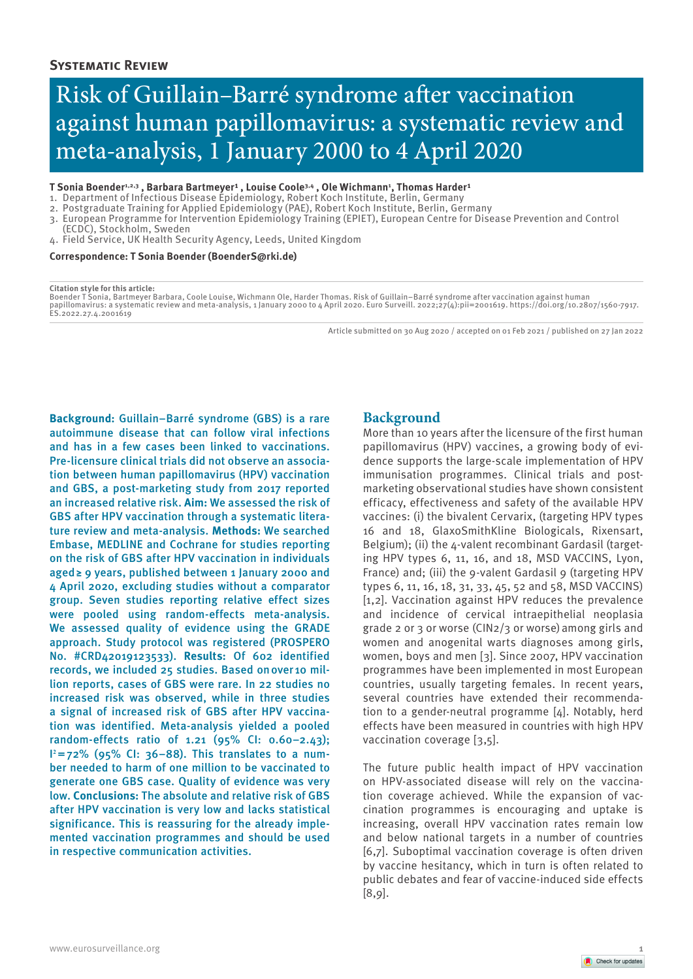# Risk of Guillain–Barré syndrome after vaccination against human papillomavirus: a systematic review and meta-analysis, 1 January 2000 to 4 April 2020

#### T Sonia Boender<sup>1,2,3</sup> , Barbara Bartmeyer<sup>1</sup> , Louise Coole<sup>3,4</sup> , Ole Wichmann', Thomas Harder'

- 1. Department of Infectious Disease Epidemiology, Robert Koch Institute, Berlin, Germany
- 2. Postgraduate Training for Applied Epidemiology (PAE), Robert Koch Institute, Berlin, Germany
- 3. European Programme for Intervention Epidemiology Training (EPIET), European Centre for Disease Prevention and Control
- (ECDC), Stockholm, Sweden 4. Field Service, UK Health Security Agency, Leeds, United Kingdom

#### **Correspondence: T Sonia Boender (BoenderS@rki.de)**

#### **Citation style for this article:**

Boender T Sonia, Bartmeyer Barbara, Coole Louise, Wichmann Ole, Harder Thomas. Risk of Guillain–Barré syndrome after vaccination against human papillomavirus: a systematic review and meta-analysis, 1 January 2000 to 4 April 2020. Euro Surveill. 2022;27(4):pii=2001619. https://doi.org/10.2807/1560-7917. ES.2022.27.4.2001619

Article submitted on 30 Aug 2020 / accepted on 01 Feb 2021 / published on 27 Jan 2022

**Background:** Guillain–Barré syndrome (GBS) is a rare autoimmune disease that can follow viral infections and has in a few cases been linked to vaccinations. Pre-licensure clinical trials did not observe an association between human papillomavirus (HPV) vaccination and GBS, a post-marketing study from 2017 reported an increased relative risk. **Aim:** We assessed the risk of GBS after HPV vaccination through a systematic literature review and meta-analysis. **Methods:** We searched Embase, MEDLINE and Cochrane for studies reporting on the risk of GBS after HPV vaccination in individuals aged≥ 9 years, published between 1 January 2000 and 4 April 2020, excluding studies without a comparator group. Seven studies reporting relative effect sizes were pooled using random-effects meta-analysis. We assessed quality of evidence using the GRADE approach. Study protocol was registered (PROSPERO No. #CRD42019123533). **Results:** Of 602 identified records, we included 25 studies. Based onover 10 million reports, cases of GBS were rare. In 22 studies no increased risk was observed, while in three studies a signal of increased risk of GBS after HPV vaccination was identified. Meta-analysis yielded a pooled random-effects ratio of 1.21 (95% CI: 0.60–2.43); I**2**=72% (95% CI: 36–88). This translates to a number needed to harm of one million to be vaccinated to generate one GBS case. Quality of evidence was very low. **Conclusions:** The absolute and relative risk of GBS after HPV vaccination is very low and lacks statistical significance. This is reassuring for the already implemented vaccination programmes and should be used in respective communication activities.

# **Background**

More than 10 years after the licensure of the first human papillomavirus (HPV) vaccines, a growing body of evidence supports the large-scale implementation of HPV immunisation programmes. Clinical trials and postmarketing observational studies have shown consistent efficacy, effectiveness and safety of the available HPV vaccines: (i) the bivalent Cervarix, (targeting HPV types 16 and 18, GlaxoSmithKline Biologicals, Rixensart, Belgium); (ii) the 4-valent recombinant Gardasil (targeting HPV types 6, 11, 16, and 18, MSD VACCINS, Lyon, France) and; (iii) the 9-valent Gardasil 9 (targeting HPV types 6, 11, 16, 18, 31, 33, 45, 52 and 58, MSD VACCINS) [1,2]. Vaccination against HPV reduces the prevalence and incidence of cervical intraepithelial neoplasia grade 2 or 3 or worse (CIN2/3 or worse)among girls and women and anogenital warts diagnoses among girls, women, boys and men [3]. Since 2007, HPV vaccination programmes have been implemented in most European countries, usually targeting females. In recent years, several countries have extended their recommendation to a gender-neutral programme [4]. Notably, herd effects have been measured in countries with high HPV vaccination coverage [3,5].

The future public health impact of HPV vaccination on HPV-associated disease will rely on the vaccination coverage achieved. While the expansion of vaccination programmes is encouraging and uptake is increasing, overall HPV vaccination rates remain low and below national targets in a number of countries [6,7]. Suboptimal vaccination coverage is often driven by vaccine hesitancy, which in turn is often related to public debates and fear of vaccine-induced side effects [8,9].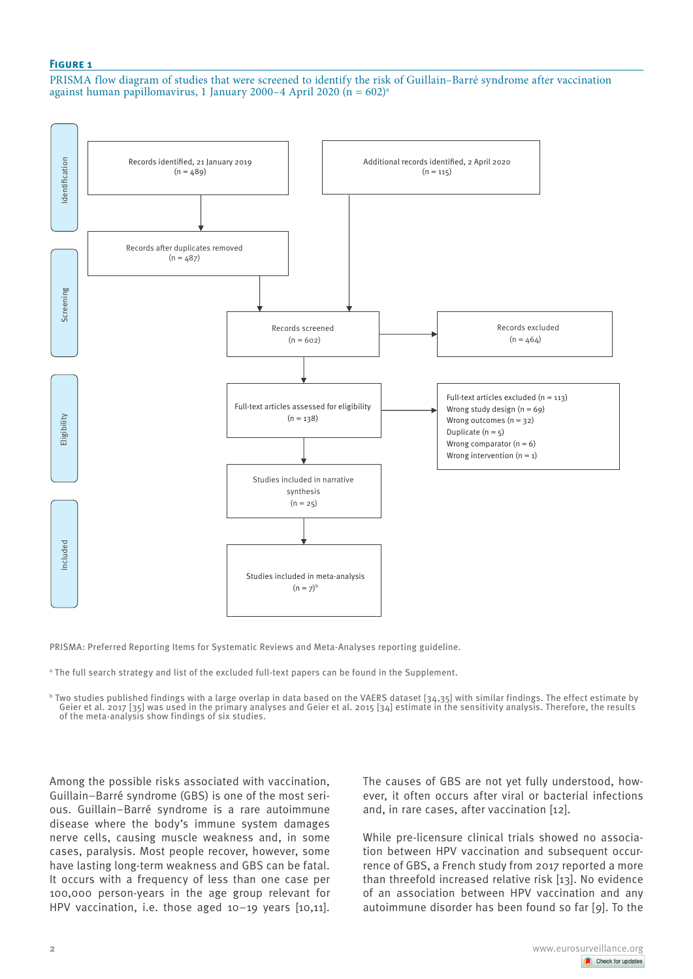## **Figure 1**

PRISMA flow diagram of studies that were screened to identify the risk of Guillain–Barré syndrome after vaccination against human papillomavirus, 1 January 2000–4 April 2020 ( $n = 602$ )<sup>a</sup>



PRISMA: Preferred Reporting Items for Systematic Reviews and Meta-Analyses reporting guideline.

a The full search strategy and list of the excluded full-text papers can be found in the Supplement.

 $^{\rm b}$  Two studies published findings with a large overlap in data based on the VAERS dataset [34,35] with similar findings. The effect estimate by Geier et al. 2017 [35] was used in the primary analyses and Geier et al. 2015 [34] estimate in the sensitivity analysis. Therefore, the results of the meta-analysis show findings of six studies.

Among the possible risks associated with vaccination, Guillain–Barré syndrome (GBS) is one of the most serious. Guillain–Barré syndrome is a rare autoimmune disease where the body's immune system damages nerve cells, causing muscle weakness and, in some cases, paralysis. Most people recover, however, some have lasting long-term weakness and GBS can be fatal. It occurs with a frequency of less than one case per 100,000 person-years in the age group relevant for HPV vaccination, i.e. those aged 10–19 years [10,11].

The causes of GBS are not yet fully understood, however, it often occurs after viral or bacterial infections and, in rare cases, after vaccination [12].

While pre-licensure clinical trials showed no association between HPV vaccination and subsequent occurrence of GBS, a French study from 2017 reported a more than threefold increased relative risk [13]. No evidence of an association between HPV vaccination and any autoimmune disorder has been found so far [9]. To the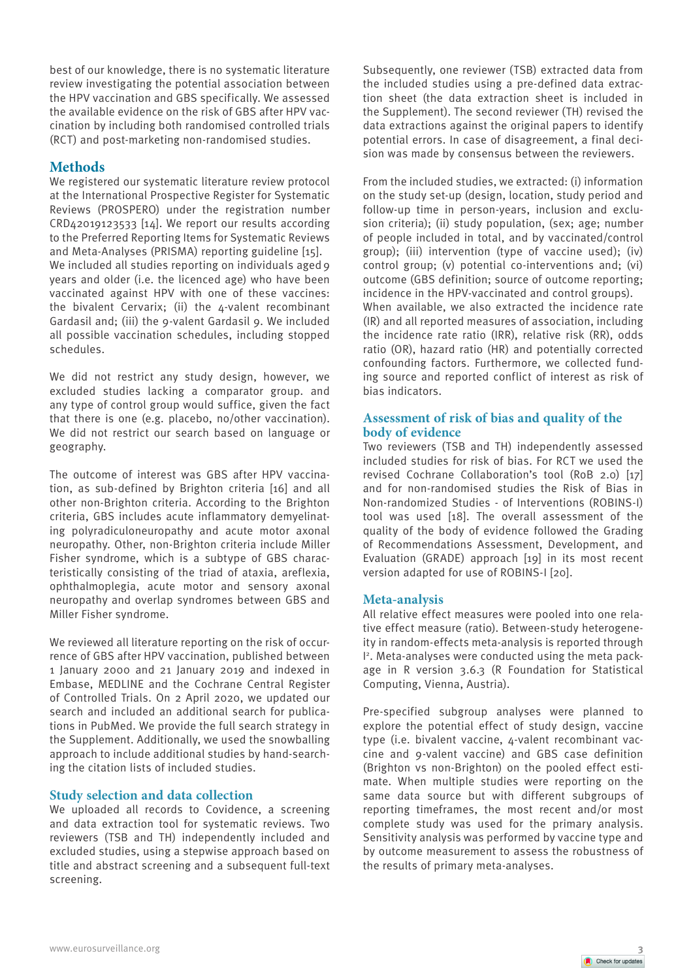best of our knowledge, there is no systematic literature review investigating the potential association between the HPV vaccination and GBS specifically. We assessed the available evidence on the risk of GBS after HPV vaccination by including both randomised controlled trials (RCT) and post-marketing non-randomised studies.

# **Methods**

We registered our systematic literature review protocol at the International Prospective Register for Systematic Reviews (PROSPERO) under the registration number CRD42019123533 [14]. We report our results according to the Preferred Reporting Items for Systematic Reviews and Meta-Analyses (PRISMA) reporting guideline [15]. We included all studies reporting on individuals aged 9 years and older (i.e. the licenced age) who have been vaccinated against HPV with one of these vaccines: the bivalent Cervarix; (ii) the 4-valent recombinant Gardasil and; (iii) the 9-valent Gardasil 9. We included all possible vaccination schedules, including stopped schedules.

We did not restrict any study design, however, we excluded studies lacking a comparator group. and any type of control group would suffice, given the fact that there is one (e.g. placebo, no/other vaccination). We did not restrict our search based on language or geography.

The outcome of interest was GBS after HPV vaccination, as sub-defined by Brighton criteria [16] and all other non-Brighton criteria. According to the Brighton criteria, GBS includes acute inflammatory demyelinating polyradiculoneuropathy and acute motor axonal neuropathy. Other, non-Brighton criteria include Miller Fisher syndrome, which is a subtype of GBS characteristically consisting of the triad of ataxia, areflexia, ophthalmoplegia, acute motor and sensory axonal neuropathy and overlap syndromes between GBS and Miller Fisher syndrome.

We reviewed all literature reporting on the risk of occurrence of GBS after HPV vaccination, published between 1 January 2000 and 21 January 2019 and indexed in Embase, MEDLINE and the Cochrane Central Register of Controlled Trials. On 2 April 2020, we updated our search and included an additional search for publications in PubMed. We provide the full search strategy in the Supplement. Additionally, we used the snowballing approach to include additional studies by hand-searching the citation lists of included studies.

# **Study selection and data collection**

We uploaded all records to Covidence, a screening and data extraction tool for systematic reviews. Two reviewers (TSB and TH) independently included and excluded studies, using a stepwise approach based on title and abstract screening and a subsequent full-text screening.

Subsequently, one reviewer (TSB) extracted data from the included studies using a pre-defined data extraction sheet (the data extraction sheet is included in the Supplement). The second reviewer (TH) revised the data extractions against the original papers to identify potential errors. In case of disagreement, a final decision was made by consensus between the reviewers.

From the included studies, we extracted: (i) information on the study set-up (design, location, study period and follow-up time in person-years, inclusion and exclusion criteria); (ii) study population, (sex; age; number of people included in total, and by vaccinated/control group); (iii) intervention (type of vaccine used); (iv) control group; (v) potential co-interventions and; (vi) outcome (GBS definition; source of outcome reporting; incidence in the HPV-vaccinated and control groups). When available, we also extracted the incidence rate (IR) and all reported measures of association, including the incidence rate ratio (IRR), relative risk (RR), odds ratio (OR), hazard ratio (HR) and potentially corrected confounding factors. Furthermore, we collected funding source and reported conflict of interest as risk of bias indicators.

# **Assessment of risk of bias and quality of the body of evidence**

Two reviewers (TSB and TH) independently assessed included studies for risk of bias. For RCT we used the revised Cochrane Collaboration's tool (RoB 2.0) [17] and for non-randomised studies the Risk of Bias in Non-randomized Studies - of Interventions (ROBINS-I) tool was used [18]. The overall assessment of the quality of the body of evidence followed the Grading of Recommendations Assessment, Development, and Evaluation (GRADE) approach [19] in its most recent version adapted for use of ROBINS-I [20].

# **Meta-analysis**

All relative effect measures were pooled into one relative effect measure (ratio). Between-study heterogeneity in random-effects meta-analysis is reported through I 2. Meta-analyses were conducted using the meta package in R version 3.6.3 (R Foundation for Statistical Computing, Vienna, Austria).

Pre-specified subgroup analyses were planned to explore the potential effect of study design, vaccine type (i.e. bivalent vaccine, 4-valent recombinant vaccine and 9-valent vaccine) and GBS case definition (Brighton vs non-Brighton) on the pooled effect estimate. When multiple studies were reporting on the same data source but with different subgroups of reporting timeframes, the most recent and/or most complete study was used for the primary analysis. Sensitivity analysis was performed by vaccine type and by outcome measurement to assess the robustness of the results of primary meta-analyses.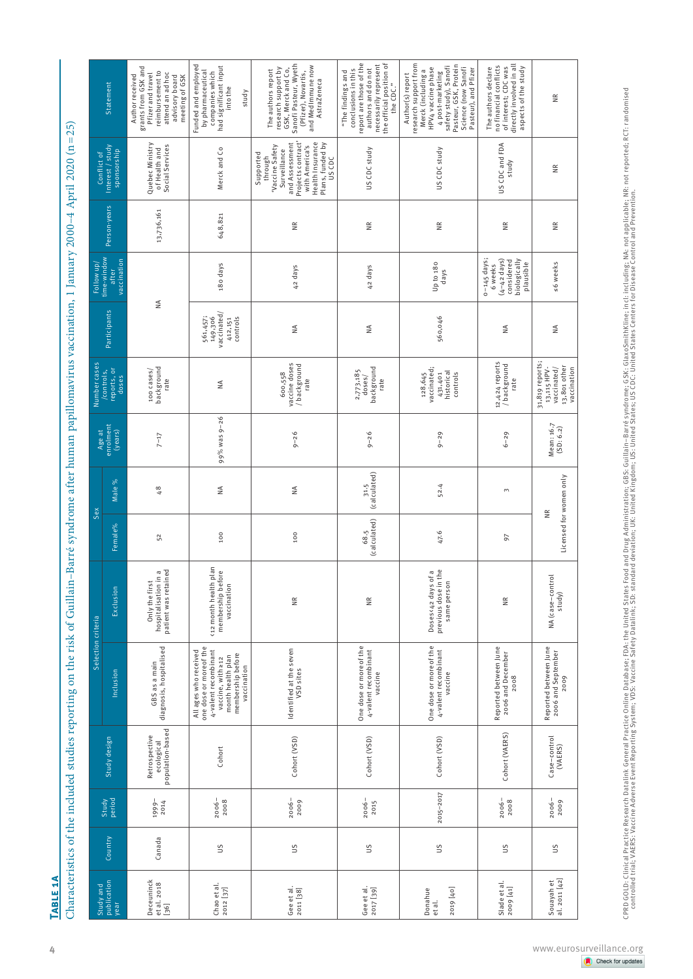|                                   |               |                  |                                                 | Selection criteria                                                                                                                                     |                                                                                      |                                              | Sex                  |                                |                                                                              |                                                           |                                                                                                |                         | Conflict of                                                                                                                                                         |                                                                                                                                                                                                            |
|-----------------------------------|---------------|------------------|-------------------------------------------------|--------------------------------------------------------------------------------------------------------------------------------------------------------|--------------------------------------------------------------------------------------|----------------------------------------------|----------------------|--------------------------------|------------------------------------------------------------------------------|-----------------------------------------------------------|------------------------------------------------------------------------------------------------|-------------------------|---------------------------------------------------------------------------------------------------------------------------------------------------------------------|------------------------------------------------------------------------------------------------------------------------------------------------------------------------------------------------------------|
| Study and<br>publication<br>year  | Country       | Study<br>period  | Study design                                    | Inclusion                                                                                                                                              | Exclusion                                                                            | Female%                                      | Male %               | Age at<br>enrolment<br>(years) | Number cases<br>/controls,<br>reports, or<br>doses                           | Participants                                              | Follow up/<br>time-window<br>vaccination<br>after                                              | Person-years            | Interest / study<br>sponsorship                                                                                                                                     | Statement                                                                                                                                                                                                  |
| Deceuninck<br>et al. 2018<br>[36] | Canada        | 1999-<br>2014    | population-based<br>Retrospective<br>ecological | diagnosis, hospitalised<br>GBS as a main                                                                                                               | nospitalisation in a<br>patient was retained<br>hospitalisation in<br>Only the first | 52                                           | $\frac{8}{4}$        | $7 - 17$                       | background<br>100 cases/<br>rate                                             | ₹                                                         |                                                                                                | 13,736,161              | Quebec Ministry<br>Social Services<br>of Health and                                                                                                                 | grants from GSK and<br>reimbursement to<br>attend an ad hoc<br>Pfizer and travel<br>Author received<br>advisory board<br>meeting of GSK                                                                    |
| Chao et al.<br>2012 [37]          | S             | $2006 -$<br>2008 | Cohort                                          | one dose or more of the<br>4-valent recombinant<br>All ages who received<br>membership before<br>month health plan<br>vaccine, with 212<br>vaccination | <12 month health plan<br>membership before<br>vaccination                            | 100                                          | $\frac{4}{2}$        | 99% was 9-26                   | ₹                                                                            | vaccinated/<br>561,457;<br>149,306<br>controls<br>412,151 | 180 days                                                                                       | 648,821                 | Merck and Co                                                                                                                                                        | Funded and employed<br>had significant input<br>by pharmaceutical<br>companies which<br>into the<br>study                                                                                                  |
| Gee et al.<br>2011 [38]           | ΩΠ            | $2006 -$<br>2009 | Cohort (VSD)                                    | Identified at the seven<br>VSD sites                                                                                                                   | $\widetilde{\Xi}$                                                                    | 100                                          | $\leq$               | $9 - 26$                       | vaccine doses<br>/ background<br>600,558<br>rate                             | $\stackrel{\triangle}{\geq}$                              | 42 days                                                                                        | ΝK                      | Projects contract'<br>Health Insurance<br>and Assessment<br>Plans, funded by<br>'Vaccine Safety<br>Surveillance<br>with America's<br>Supported<br>through<br>US CDC | Sanofi Pasteur, Wyeth<br>and MedImmune now<br>research support by<br>GSK, Merck and Co,<br>The authors report<br>(Pfizer), Novartis,<br>AstraZeneca                                                        |
| Gee et al.<br>2017 [39]           | SΠ            | $2006 -$<br>2015 | Cohort (VSD)                                    | One dose or more of the<br>4-valent recombinant<br>vaccine                                                                                             | $\widetilde{\Xi}$                                                                    | (calculated)<br>68.5                         | 31.5<br>(calculated) | $9 - 26$                       | doses/<br>background<br>2,773,185<br>rate                                    | $\stackrel{\triangle}{\geq}$                              | 42 days                                                                                        | $\frac{R}{R}$           | US CDC study                                                                                                                                                        | report are those of the<br>necessarily represent<br>the official position of<br>conclusions in this<br>authors and do not<br>"The findings and<br>the CDC."                                                |
| 2019 [40]<br>Donahue<br>et al.    | SΠ            | 2015-2017        | Cohort (VSD)                                    | One dose or more of the<br>4-valent recombinant<br>vaccine                                                                                             | uoses<42 days of a<br>previous dose in the<br>Doses<42 days of<br>same person        | 47.6                                         | 52.4                 | $9 - 29$                       | vaccinated;<br>historical<br>431,401<br>controls<br>128,645                  | 560,046                                                   | Up to 180<br>days                                                                              | $\frac{\alpha}{\alpha}$ | US CDC study                                                                                                                                                        | research support from<br>Pasteur, GSK, Protein<br>Science (now Sanofi<br>4 post-marketing<br>safety study), Sanofi<br>HPV4 vaccine phase<br>Pasteur), and Pfizer<br>Merck (including a<br>Author(s) report |
| Slade et al.<br>2009 [41]         | S             | 2006-<br>2008    | Cohort (VAERS)                                  | Reported between June<br>2006 and December<br>2008                                                                                                     | $\widetilde{\equiv}$                                                                 | 50                                           | 3                    | $6 - 29$                       | 12,424 reports<br>/ background<br>rate                                       | $\frac{4}{2}$                                             | $0 - 145$ days;<br>$(4-42 \text{ days})$<br>biologically<br>considered<br>plausible<br>6 weeks | $\frac{\alpha}{\alpha}$ | US CDC and FDA<br>study                                                                                                                                             | directly involved in all<br>no financial conflicts<br>of interest; CDC was<br>aspects of the study<br>The authors declare                                                                                  |
| Souayah et<br>al. 2011 [42]       | $\frac{2}{3}$ | $2006 -$<br>2009 | Case-control<br>(VAERS)                         | Reported between June<br>2006 and September<br>2009                                                                                                    | NA (case-control<br>study)                                                           | Licensed for women only<br>$\widetilde{\Xi}$ |                      | Mean: 16.7<br>(SD: 6.2)        | 31,819 reports;<br>13,115 HPV-<br>vaccinated/<br>13,801 other<br>vaccination | $\frac{4}{2}$                                             | s6 weeks                                                                                       | $\frac{R}{R}$           | $\frac{\alpha}{\alpha}$                                                                                                                                             | ž                                                                                                                                                                                                          |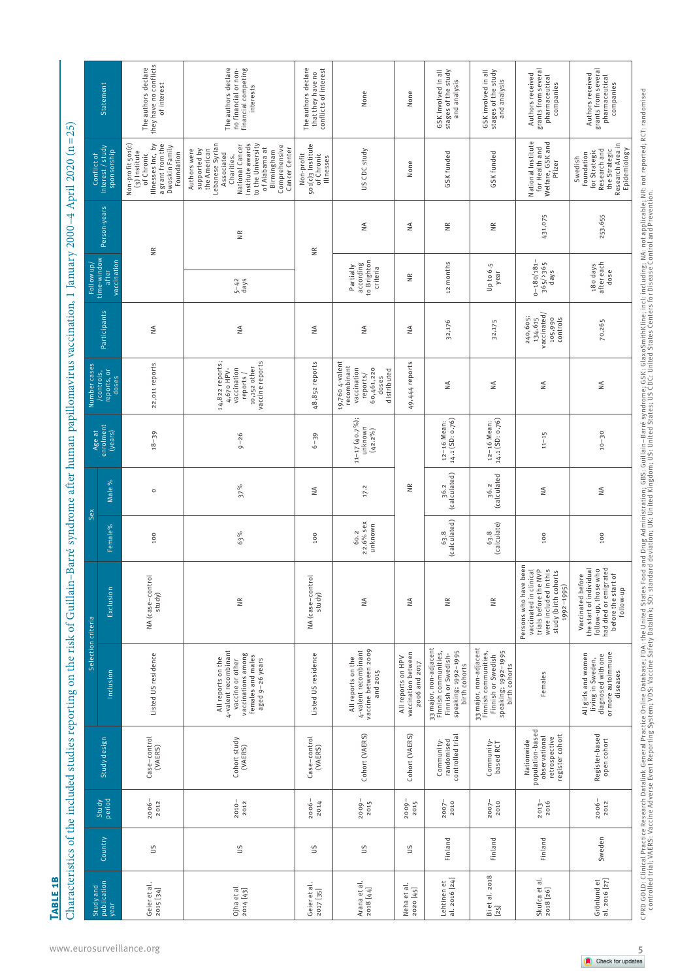**Table 1b**

| l<br>ĺ                                                                                                                                                                                                                              |
|-------------------------------------------------------------------------------------------------------------------------------------------------------------------------------------------------------------------------------------|
| Ì                                                                                                                                                                                                                                   |
|                                                                                                                                                                                                                                     |
|                                                                                                                                                                                                                                     |
|                                                                                                                                                                                                                                     |
|                                                                                                                                                                                                                                     |
|                                                                                                                                                                                                                                     |
| ׇ֚֘֝֬                                                                                                                                                                                                                               |
|                                                                                                                                                                                                                                     |
| $\frac{1}{2}$                                                                                                                                                                                                                       |
|                                                                                                                                                                                                                                     |
|                                                                                                                                                                                                                                     |
| I                                                                                                                                                                                                                                   |
|                                                                                                                                                                                                                                     |
|                                                                                                                                                                                                                                     |
|                                                                                                                                                                                                                                     |
|                                                                                                                                                                                                                                     |
|                                                                                                                                                                                                                                     |
|                                                                                                                                                                                                                                     |
|                                                                                                                                                                                                                                     |
|                                                                                                                                                                                                                                     |
|                                                                                                                                                                                                                                     |
|                                                                                                                                                                                                                                     |
|                                                                                                                                                                                                                                     |
|                                                                                                                                                                                                                                     |
|                                                                                                                                                                                                                                     |
|                                                                                                                                                                                                                                     |
|                                                                                                                                                                                                                                     |
|                                                                                                                                                                                                                                     |
|                                                                                                                                                                                                                                     |
|                                                                                                                                                                                                                                     |
|                                                                                                                                                                                                                                     |
|                                                                                                                                                                                                                                     |
|                                                                                                                                                                                                                                     |
|                                                                                                                                                                                                                                     |
|                                                                                                                                                                                                                                     |
|                                                                                                                                                                                                                                     |
|                                                                                                                                                                                                                                     |
|                                                                                                                                                                                                                                     |
|                                                                                                                                                                                                                                     |
|                                                                                                                                                                                                                                     |
|                                                                                                                                                                                                                                     |
|                                                                                                                                                                                                                                     |
|                                                                                                                                                                                                                                     |
|                                                                                                                                                                                                                                     |
|                                                                                                                                                                                                                                     |
| I                                                                                                                                                                                                                                   |
|                                                                                                                                                                                                                                     |
|                                                                                                                                                                                                                                     |
|                                                                                                                                                                                                                                     |
| is and the second second the second second second second second second second second second second second second second second second second second second second second second second second second second second second seco<br>I |
|                                                                                                                                                                                                                                     |
|                                                                                                                                                                                                                                     |
|                                                                                                                                                                                                                                     |
|                                                                                                                                                                                                                                     |
|                                                                                                                                                                                                                                     |
|                                                                                                                                                                                                                                     |
|                                                                                                                                                                                                                                     |
|                                                                                                                                                                                                                                     |
|                                                                                                                                                                                                                                     |
| j                                                                                                                                                                                                                                   |
| ֚                                                                                                                                                                                                                                   |
|                                                                                                                                                                                                                                     |
|                                                                                                                                                                                                                                     |
|                                                                                                                                                                                                                                     |
|                                                                                                                                                                                                                                     |
|                                                                                                                                                                                                                                     |
|                                                                                                                                                                                                                                     |
|                                                                                                                                                                                                                                     |
| ţ                                                                                                                                                                                                                                   |
|                                                                                                                                                                                                                                     |
|                                                                                                                                                                                                                                     |
|                                                                                                                                                                                                                                     |
|                                                                                                                                                                                                                                     |
|                                                                                                                                                                                                                                     |
|                                                                                                                                                                                                                                     |
|                                                                                                                                                                                                                                     |
|                                                                                                                                                                                                                                     |
|                                                                                                                                                                                                                                     |
|                                                                                                                                                                                                                                     |
|                                                                                                                                                                                                                                     |
| ت                                                                                                                                                                                                                                   |

| Statement                                          | they have no conflicts<br>The authors declare<br>of interest                                                              | The authors declare<br>no financial or non-<br>financial competing<br>interests                                                                                                                                          | The authors declare<br>conflicts of interest<br>that they have no | None                                                                                            | None                                                       | stages of the study<br>GSK involved in all<br>and analysis                                                    | stages of the study<br>GSK involved in all<br>and analysis                                                   | grants from several<br>Authors received<br>pharmaceutical<br>companies                                                                  | grants from several<br>Authors received<br>pharmaceutical<br>companies                                                            |
|----------------------------------------------------|---------------------------------------------------------------------------------------------------------------------------|--------------------------------------------------------------------------------------------------------------------------------------------------------------------------------------------------------------------------|-------------------------------------------------------------------|-------------------------------------------------------------------------------------------------|------------------------------------------------------------|---------------------------------------------------------------------------------------------------------------|--------------------------------------------------------------------------------------------------------------|-----------------------------------------------------------------------------------------------------------------------------------------|-----------------------------------------------------------------------------------------------------------------------------------|
| Interest / study<br>sponsorship<br>Conflict of     | Non-profit 501(c)<br>Illnesses Inc, by<br>a grant from the<br>Dwoskin Family<br>(3) Institute<br>Foundation<br>of Chronic | Lebanese Syrian<br>Institute awards<br>National Cancer<br>to the University<br>Comprehensive<br>of Alabama at<br>supported by<br>Cancer Center<br>Authors were<br>the American<br>Birmingham<br>Associated<br>Charities, | 501(c) 3 Institute<br>of Chronic<br>Non-profit<br>Illnesses       | US CDC study                                                                                    | None                                                       | GSK funded                                                                                                    | GSK funded                                                                                                   | National Institute<br>Welfare, GSK and<br>for Health and<br>Pfizer                                                                      | Research Area in<br>Research and<br>Epidemiology<br>the Strategic<br>for Strategic<br>Foundation<br>Swedish                       |
| Person-years                                       | $\frac{\alpha}{\beta}$                                                                                                    | $\frac{\kappa}{\kappa}$                                                                                                                                                                                                  | $\widetilde{\equiv}$                                              | ₹                                                                                               | ₹                                                          | $\frac{\alpha}{\alpha}$                                                                                       | $\frac{R}{R}$                                                                                                | 431,075                                                                                                                                 | 253,655                                                                                                                           |
| time-window<br>vaccination<br>Follow up/<br>after  |                                                                                                                           | $5 - 42$<br>days                                                                                                                                                                                                         |                                                                   | to Brighton<br>according<br>Partially<br>criteria                                               | ΝR                                                         | 12 months                                                                                                     | Up to 6.5<br>year                                                                                            | $0 - 180/181 -$<br>$365/3365$<br>days                                                                                                   | 180 days<br>after each<br>dose                                                                                                    |
| Participants                                       | $\frac{4}{2}$                                                                                                             | $\frac{4}{2}$                                                                                                                                                                                                            | $\frac{4}{2}$                                                     | $\frac{4}{2}$                                                                                   | ₹                                                          | 32,176                                                                                                        | 32,175                                                                                                       | vaccinated/<br>240,605;<br>$\frac{1}{2}$<br>134,615<br>105,990                                                                          | 70,265                                                                                                                            |
| Number cases<br>reports, or<br>doses<br>/controls, | 22,011 reports                                                                                                            | 14,822 reports;<br>vaccine reports<br>10,152 other<br>vaccination<br>4,670 HPV-<br>reports /                                                                                                                             | 48,852 reports                                                    | 19,760 4-valent<br>recombinant<br>60,461,220<br>vaccination<br>distributed<br>reports/<br>doses | 49,444 reports                                             | $\frac{4}{2}$                                                                                                 | $\frac{4}{2}$                                                                                                | $\frac{4}{2}$                                                                                                                           | $\leq$                                                                                                                            |
| Age at<br>enrolment<br>(years)                     | $18 - 39$                                                                                                                 | $9 - 26$                                                                                                                                                                                                                 | $6 - 39$                                                          | $11-17(40.7\%)$ ;<br>unknown<br>$(42.2\%)$                                                      |                                                            | 14.1 (SD: 0.76)<br>12-16 Mean:                                                                                | 14.1 (SD: 0.76)<br>12-16 Mean:                                                                               | $11 - 15$                                                                                                                               | $10 - 30$                                                                                                                         |
| Male %<br>Sex                                      | $\circ$                                                                                                                   | $37\%$                                                                                                                                                                                                                   | ₹                                                                 | 17.2                                                                                            | š                                                          | 36.2<br>(calculated)                                                                                          | 36.2<br>(calculated                                                                                          | ₹                                                                                                                                       | $\frac{4}{2}$                                                                                                                     |
| Female%                                            | 100                                                                                                                       | 63%                                                                                                                                                                                                                      | 100                                                               | 22.6% sex<br>unknown<br>60.2                                                                    |                                                            | (calculated)<br>63.8                                                                                          | (calculate)<br>63.8                                                                                          | 100                                                                                                                                     | 100                                                                                                                               |
| Exclusion                                          | NA (case-contro<br>study)                                                                                                 | $\widetilde{\equiv}$                                                                                                                                                                                                     | NA (case-control<br>study)                                        | ≨                                                                                               | $\frac{4}{2}$                                              | $\widetilde{\equiv}$                                                                                          | $\frac{\alpha}{\alpha}$                                                                                      | Persons who have been<br>vaccinated in clinical<br>trials before the NVP<br>were included in this<br>study (birth cohorts<br>1992-1995) | had died or emigrated<br>the start of individual<br>follow-up, those who<br>before the start of<br>Vaccinated before<br>follow-up |
| Selection criteria<br>Inclusion                    | Listed US residence                                                                                                       | 4-valent recombinant<br>vaccinations among<br>females and males<br>aged 9-26 years<br>All reports on the<br>vaccine or other                                                                                             | Listed US residence                                               | vaccine between 2009<br>4-valent recombinant<br>All reports on the<br>and 2015                  | vaccination between<br>All reports on HPV<br>2006 and 2017 | 33 major, non-adjacent<br>Finnish communities,<br>speaking; 1992-1995<br>Finnish or Swedish-<br>birth cohorts | 33 major, non-adjacent<br>Finnish communities,<br>speaking; 1992–1995<br>birth cohorts<br>Finnish or Swedish | Females                                                                                                                                 | or more autoimmune<br>All girls and women<br>living in Sweden,<br>diagnosed withone<br>diseases                                   |
| Study design                                       | Case-control<br>(VAERS)                                                                                                   | Cohort study<br>(VAERS)                                                                                                                                                                                                  | Case-control<br>(VAERS)                                           | Cohort (VAERS)                                                                                  | Cohort (VAERS)                                             | controlled tria<br>randomised<br>Community-                                                                   | Community-<br>based RCT                                                                                      | population-based<br>register cohort<br>observational<br>retrospective<br>Nationwide                                                     | Register-based<br>open cohort                                                                                                     |
| Study<br>period                                    | $2006 -$<br>2012                                                                                                          | $2010 -$<br>2012                                                                                                                                                                                                         | $2006 -$<br>2014                                                  | $2009 -$<br>2015                                                                                | $2009 -$<br>2015                                           | $2007 -$<br>2010                                                                                              | $2007 -$<br>2010                                                                                             | $2013 - 2016$                                                                                                                           | $2006 -$<br>2012                                                                                                                  |
| Country                                            | SΠ                                                                                                                        | SΠ                                                                                                                                                                                                                       | $\frac{5}{2}$                                                     | $\tilde{5}$                                                                                     | $\mathbf{S}$                                               | Finland                                                                                                       | Finland                                                                                                      | Finland                                                                                                                                 | Sweden                                                                                                                            |
| publication<br>Study and<br>year                   | Geier et al.<br>2015 [34]                                                                                                 | Ojha et al<br>2014 [43]                                                                                                                                                                                                  | Geier et al.<br>2017 [35]                                         | Arana et al.<br>2018 [44]                                                                       | Neha et al.<br>2020 [45]                                   | al. 2016 [24]<br>Lehtinen et                                                                                  | Biet al. 2018<br>$[25]$                                                                                      | Skufca et al.<br>2018 [26]                                                                                                              | al. 2016 [27]<br>Grönlund et                                                                                                      |

CPRD GOLD: Clinical Practice Research Datalink General Practice Online Database; FDA: the United States Food and Drug Administration; GBS: Guillain–Barré syndrome; GSK: GlaxoSmithKline; incl.including; NA: not applicable; CPRD GOLD: Clinical Practice Research Datalink General Practice Online Database; FDA: the United States Food and Drug Administration; GBS: Guillain-Barré syndrome; GSK: GlaxOSmithKline; including; NA: not applicable; NR: n controlled trial; VAERS: Vaccine Adverse Event Reporting System; VDS: Vaccine Safety Datalink; SD: standard deviation; UK: United Kingdom; US: United States; US CDC: United States Centers for Disease Control and Prevention.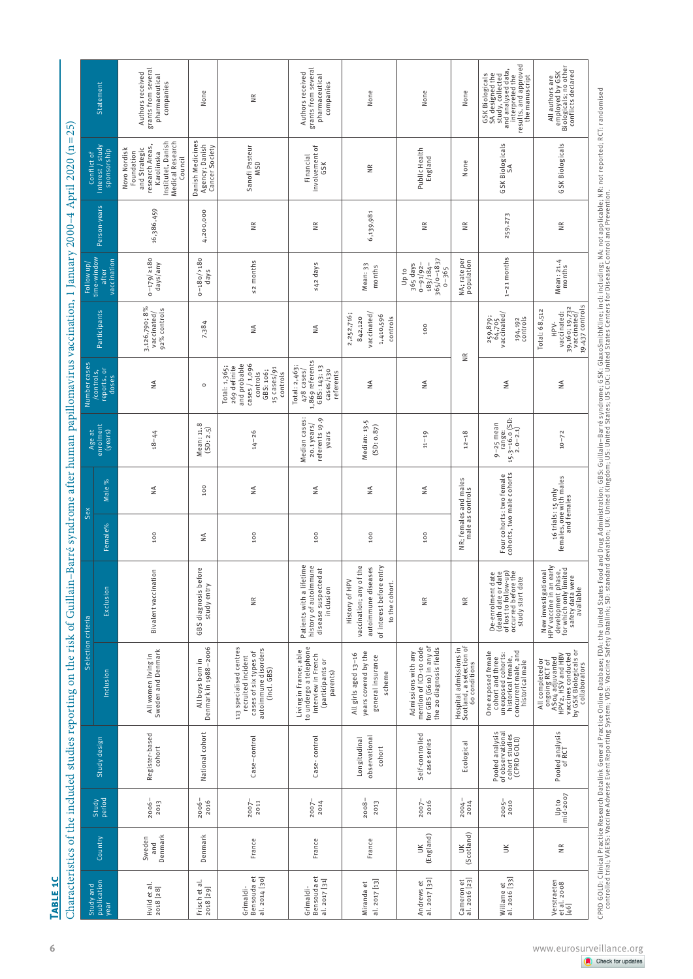| Ì<br>j                                                                                          |
|-------------------------------------------------------------------------------------------------|
| ľ                                                                                               |
|                                                                                                 |
|                                                                                                 |
|                                                                                                 |
| ֦                                                                                               |
|                                                                                                 |
| l                                                                                               |
|                                                                                                 |
| ֚֘֝֬<br>j<br>Í                                                                                  |
|                                                                                                 |
|                                                                                                 |
| l                                                                                               |
|                                                                                                 |
|                                                                                                 |
|                                                                                                 |
|                                                                                                 |
|                                                                                                 |
|                                                                                                 |
|                                                                                                 |
|                                                                                                 |
|                                                                                                 |
|                                                                                                 |
|                                                                                                 |
|                                                                                                 |
|                                                                                                 |
|                                                                                                 |
|                                                                                                 |
|                                                                                                 |
|                                                                                                 |
|                                                                                                 |
| I                                                                                               |
|                                                                                                 |
|                                                                                                 |
|                                                                                                 |
|                                                                                                 |
| i<br>Sa                                                                                         |
|                                                                                                 |
|                                                                                                 |
|                                                                                                 |
| ֧֧ׅ֧֧֧֧֧֧֧֧֧֧֧֧֧֧֧֧֧֧֧֛֪֧֛֚֚֚֚֚֚֚֚֚֚֚֚֚֚֚֚֚֚֚֚֚֚֚֚֚֚֚֚֚֝֡֡֓֡֞֝֓֝֓֓֓֝֬֝֬֝֬֝֬֝֬֝֬֝֬֝֬֝֬֝֬         |
|                                                                                                 |
|                                                                                                 |
|                                                                                                 |
|                                                                                                 |
| ו<br>ווי הוא ל                                                                                  |
|                                                                                                 |
| I                                                                                               |
|                                                                                                 |
|                                                                                                 |
|                                                                                                 |
| こうこうしょう                                                                                         |
|                                                                                                 |
| ֖֖֖֖֧ׅ֖֧֖֧֧֪ׅ֖֧֧֪֪֪֪֪֪֪֪֪֪֪֪֪֪֪֪֪֪֪֪֪֪֪֪֪֪֪֪֪֪֪ׅ֧֚֚֚֚֚֚֚֚֚֚֚֚֚֚֚֚֚֚֚֚֚֚֚֚֚֚֚֚֚֡֝֝֟֓֡֞֬֝֓֞֝֬֝֬֞֞ |
| ֚֘֝֕<br>֖֖֖֖֖֧֪ׅ֖֧֪֪֪ׅ֧֪֪֪֪֪֪ׅ֧֚֚֚֚֚֚֚֚֚֚֚֚֚֚֚֚֚֚֚֚֚֚֬֝֓֡֝֓֞֡֡֡֬֓֞֡֓֞                           |
|                                                                                                 |
|                                                                                                 |
|                                                                                                 |
|                                                                                                 |
|                                                                                                 |
|                                                                                                 |
| l                                                                                               |
|                                                                                                 |
|                                                                                                 |
|                                                                                                 |
|                                                                                                 |
|                                                                                                 |
|                                                                                                 |
|                                                                                                 |
|                                                                                                 |
|                                                                                                 |
|                                                                                                 |
|                                                                                                 |
|                                                                                                 |
|                                                                                                 |
|                                                                                                 |
|                                                                                                 |
|                                                                                                 |
|                                                                                                 |
| I                                                                                               |
|                                                                                                 |
|                                                                                                 |

|                                           |                          |                     |                                                                      |                                                                                                                                            | Selection criteria                                                                                                                 |         | Sex                                                          |                                                         | Number cases                                                                                                       |                                                                                          |                                                                                |                         |                                                                                                                                   |                                                                                                                                            |
|-------------------------------------------|--------------------------|---------------------|----------------------------------------------------------------------|--------------------------------------------------------------------------------------------------------------------------------------------|------------------------------------------------------------------------------------------------------------------------------------|---------|--------------------------------------------------------------|---------------------------------------------------------|--------------------------------------------------------------------------------------------------------------------|------------------------------------------------------------------------------------------|--------------------------------------------------------------------------------|-------------------------|-----------------------------------------------------------------------------------------------------------------------------------|--------------------------------------------------------------------------------------------------------------------------------------------|
| Study and<br>publication<br>year          | Country                  | Study<br>period     | Study design                                                         | Inclusion                                                                                                                                  | Exclusion                                                                                                                          | Female% | Male %                                                       | Age at<br>enrolment<br>(years)                          | /controls,<br>reports, or<br>doses                                                                                 | Participants                                                                             | Follow up/<br>time-window<br>after<br>vaccination                              | Person-years            | Interest / study<br>sponsorship<br>Conflict of                                                                                    | Statement                                                                                                                                  |
| Hviid et al.<br>2018 [28]                 | Denmark<br>Sweden<br>and | $2006 -$<br>2013    | Register-based<br>cohort                                             | Sweden and Denmark<br>All women living in                                                                                                  | Bivalent vaccination                                                                                                               | 100     | $\frac{4}{2}$                                                | $18 - 44$                                               | ≨                                                                                                                  | 3,126,790; 8%<br>92% controls<br>vaccinated/                                             | $0 - 179/2180$<br>days/any                                                     | 16,386,459              | Medical Research<br>Institutet, Danish<br>research Areas,<br>and Strategic<br>Novo Nordisk<br>Foundation<br>Karolinska<br>Council | grants from several<br>Authors received<br>pharmaceutical<br>companies                                                                     |
| Frisch et al.<br>2018 [29]                | Denmark                  | $2006 -$<br>$2016$  | National cohort                                                      | Denmark in 1988-2006<br>All boys born in                                                                                                   | GBS diagnosis before<br>study entry                                                                                                | ₹       | 100                                                          | Mean: 11.8<br>(SD: 2.5)                                 | $\circ$                                                                                                            | 7,384                                                                                    | $0 - 180 / 180$<br>days                                                        | 4,200,000               | Danish Medicines<br>Agency; Danish<br>Cancer Society                                                                              | None                                                                                                                                       |
| Bensouda et<br>al. 2014 [30]<br>Grimaldi- | France                   | 2007-<br>2011       | Case-control                                                         | 113 specialised centres<br>autoimmune disorders<br>cases of six types of<br>recruited incident<br>(incl. GBS)                              | NR                                                                                                                                 | 100     | ₹                                                            | $14 - 26$                                               | cases / 1,096<br>and probable<br>269 definite<br>Total: 1,365;<br>15 cases/91<br>GBS: 106;<br>controls<br>controls | ₹                                                                                        | $s$ 2 months                                                                   | ã                       | Sanofi Pasteur<br><b>MSD</b>                                                                                                      | ≝                                                                                                                                          |
| Bensouda et<br>al. 2017 [31]<br>Grimaldi- | France                   | $2007 -$<br>2014    | Case-control                                                         | to undergo a telephone<br>Living in France; able<br>interview in French<br>(participants or<br>parents)                                    | Patients with a lifetime<br>une<br>$\vec{a}$<br>disease suspected<br>history of autoimm<br>inclusion                               | 100     | $\stackrel{\triangle}{\ge}$                                  | Median cases:<br>referents 19.9<br>20.1 years/<br>years | 1,869 referents<br>Total: 2,463;<br>GBS: 143; 13<br>cases/130<br>478 cases,<br>referents                           | $\frac{4}{2}$                                                                            | $\leq 42$ days                                                                 | $\frac{\alpha}{\alpha}$ | involvement of<br>Financial<br>GSK                                                                                                | grants from several<br>Authors received<br>pharmaceutical<br>companies                                                                     |
| al. 2017 [13]<br>Miranda et               | France                   | 2013<br>2008        | observational<br>Longitudinal<br>cohort                              | years covered by the<br>All girls aged 13-16<br>general insurance<br>scheme                                                                | of interest before entry<br>vaccination; any of the<br>ses<br>autoimmune disea<br>History of HPV<br>to the cohort.                 | 100     | $\frac{4}{2}$                                                | Median: 13.5<br>(SD: 0.87)                              | ≨                                                                                                                  | 2, 252, 716;<br>vaccinated,<br>1,410,596<br>842,120<br>controls                          | Mean: 33<br>months                                                             | 6,139,981               | $\frac{\alpha}{\alpha}$                                                                                                           | None                                                                                                                                       |
| Andrews et<br>al. 2017 [32]               | (England)<br>š           | 2016<br>2007        | Self-controlled<br>case series                                       | mention of ICD-10 code<br>for GBS (G610) in any of<br>the 20 diagnosis fields<br>Admissions with any                                       | $\widetilde{\equiv}$                                                                                                               | 100     | ₹                                                            | $11 - 19$                                               | $\stackrel{\triangle}{\ge}$                                                                                        | 100                                                                                      | 365/0-1837<br>$365$ days<br>$0 - 91/92 -$<br>$183/184 -$<br>$0 - 365$<br>Up to | $\frac{\alpha}{\alpha}$ | Public Health<br>England                                                                                                          | None                                                                                                                                       |
| Cameron et<br>al. 2016 [23]               | (Scotland)<br>š          | 2014<br>$2004 -$    | Ecological                                                           | Hospital admissions in<br>Scotland, a selection of<br>Scotland, a selection<br>60 conditions                                               | ≝                                                                                                                                  |         | NR; females and males<br>male as controls                    | $12 - 18$                                               |                                                                                                                    | $\widetilde{\Xi}$                                                                        | NA; rate per<br>population                                                     | ã                       | None                                                                                                                              | None                                                                                                                                       |
| al. 2016 [33]<br>Willame et               | š                        | $2005 -$<br>2010    | Pooled analysis<br>of observational<br>cohort studies<br>(CPRD GOLD) | unexposed cohorts:<br>historical female,<br>concurrent male, and<br>historical male<br>One exposed female<br>cohort and three              | De-enrolment date<br>(death date or date<br>of lost to follow-up)<br>occurred before the<br>study start date                       |         | Four cohorts: two female<br>cohorts, two male cohorts        | $15.3-16.0$ (SD:<br>2.0-2.1)<br>9-25 mean<br>range:     | ≨                                                                                                                  | 259, 879;<br>64, 705<br>vaccinated/<br>194,192<br>controls                               | $1 - 21$ months                                                                | 259,273                 | GSK Biologicals<br>SA                                                                                                             | results, and approved<br>the manuscript<br>GSK Biologicals<br>SA designed the<br>study, collected<br>and analysed data,<br>interpreted the |
| Verstraeten<br>et al. 2008<br>[46]        | $\frac{\alpha}{\alpha}$  | $mid-z007$<br>Up to | Pooled analysis<br>of RCT                                            | vaccines conducted<br>by GSK Biologicals or<br>collaborators<br>All completed or<br>ongoing RCT of<br>ASo4 adjuvanted<br>HPV2, HSV and HBV | New investigational<br>HPV vaccine in an early<br>development phase,<br>for which winited<br>for aftery data winited<br>savailable |         | 16 trials: 15 only<br>females, one with males<br>and females | $10 - 72$                                               | $\stackrel{\triangle}{\geq}$                                                                                       | 19,437 controls<br>39,160; 19,732<br>vaccinated/<br>Total: 68,512<br>vaccinated:<br>HP∨- | Mean: 21.4<br>months                                                           | $\frac{R}{R}$           | GSK Biologicals                                                                                                                   | All authors are<br>employed by GSK<br>Biologicals; no other<br>conflicts declared                                                          |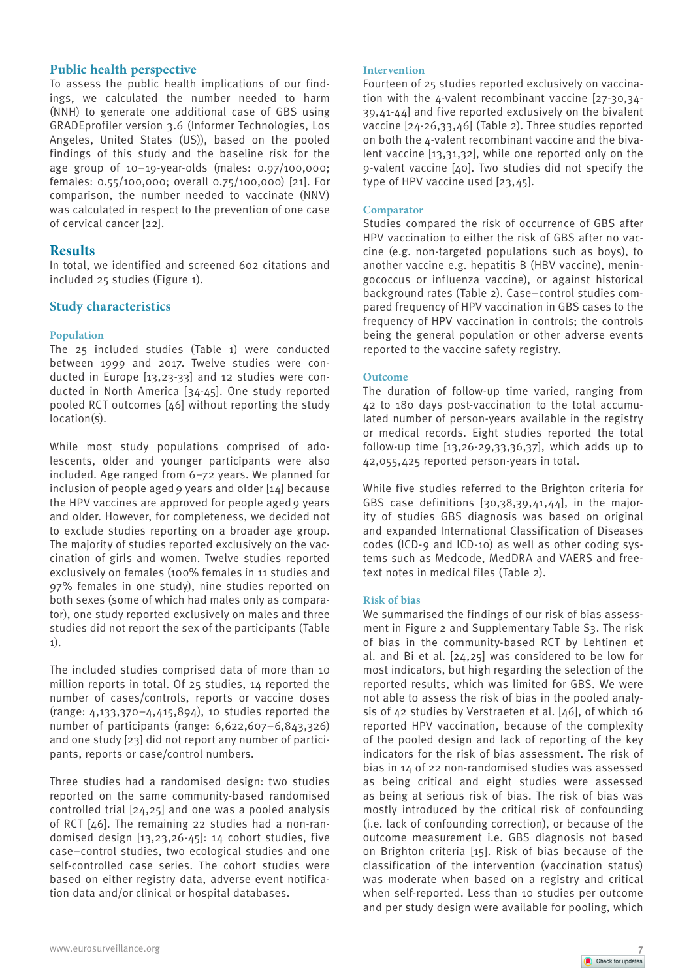# **Public health perspective**

To assess the public health implications of our findings, we calculated the number needed to harm (NNH) to generate one additional case of GBS using GRADEprofiler version 3.6 (Informer Technologies, Los Angeles, United States (US)), based on the pooled findings of this study and the baseline risk for the age group of 10–19-year-olds (males: 0.97/100,000; females: 0.55/100,000; overall 0.75/100,000) [21]. For comparison, the number needed to vaccinate (NNV) was calculated in respect to the prevention of one case of cervical cancer [22].

# **Results**

In total, we identified and screened 602 citations and included 25 studies (Figure 1).

# **Study characteristics**

## **Population**

The 25 included studies (Table 1) were conducted between 1999 and 2017. Twelve studies were conducted in Europe [13,23-33] and 12 studies were conducted in North America [34-45]. One study reported pooled RCT outcomes [46] without reporting the study location(s).

While most study populations comprised of adolescents, older and younger participants were also included. Age ranged from 6–72 years. We planned for inclusion of people aged 9 years and older  $[14]$  because the HPV vaccines are approved for people aged 9 years and older. However, for completeness, we decided not to exclude studies reporting on a broader age group. The majority of studies reported exclusively on the vaccination of girls and women. Twelve studies reported exclusively on females (100% females in 11 studies and 97% females in one study), nine studies reported on both sexes (some of which had males only as comparator), one study reported exclusively on males and three studies did not report the sex of the participants (Table 1).

The included studies comprised data of more than 10 million reports in total. Of 25 studies, 14 reported the number of cases/controls, reports or vaccine doses (range: 4,133,370–4,415,894), 10 studies reported the number of participants (range: 6,622,607–6,843,326) and one study [23] did not report any number of participants, reports or case/control numbers.

Three studies had a randomised design: two studies reported on the same community-based randomised controlled trial [24,25] and one was a pooled analysis of RCT [46]. The remaining 22 studies had a non-randomised design [13,23,26-45]: 14 cohort studies, five case–control studies, two ecological studies and one self-controlled case series. The cohort studies were based on either registry data, adverse event notification data and/or clinical or hospital databases.

## **Intervention**

Fourteen of 25 studies reported exclusively on vaccination with the 4-valent recombinant vaccine [27-30,34- 39,41-44] and five reported exclusively on the bivalent vaccine [24-26,33,46] (Table 2). Three studies reported on both the 4-valent recombinant vaccine and the bivalent vaccine [13,31,32], while one reported only on the 9-valent vaccine [40]. Two studies did not specify the type of HPV vaccine used [23,45].

### **Comparator**

Studies compared the risk of occurrence of GBS after HPV vaccination to either the risk of GBS after no vaccine (e.g. non-targeted populations such as boys), to another vaccine e.g. hepatitis B (HBV vaccine), meningococcus or influenza vaccine), or against historical background rates (Table 2). Case–control studies compared frequency of HPV vaccination in GBS cases to the frequency of HPV vaccination in controls; the controls being the general population or other adverse events reported to the vaccine safety registry.

## **Outcome**

The duration of follow-up time varied, ranging from 42 to 180 days post-vaccination to the total accumulated number of person-years available in the registry or medical records. Eight studies reported the total follow-up time [13,26-29,33,36,37], which adds up to 42,055,425 reported person-years in total.

While five studies referred to the Brighton criteria for GBS case definitions [30,38,39,41,44], in the majority of studies GBS diagnosis was based on original and expanded International Classification of Diseases codes (ICD-9 and ICD-10) as well as other coding systems such as Medcode, MedDRA and VAERS and freetext notes in medical files (Table 2).

#### **Risk of bias**

We summarised the findings of our risk of bias assessment in Figure 2 and Supplementary Table S3. The risk of bias in the community-based RCT by Lehtinen et al. and Bi et al. [24,25] was considered to be low for most indicators, but high regarding the selection of the reported results, which was limited for GBS. We were not able to assess the risk of bias in the pooled analysis of 42 studies by Verstraeten et al. [46], of which 16 reported HPV vaccination, because of the complexity of the pooled design and lack of reporting of the key indicators for the risk of bias assessment. The risk of bias in 14 of 22 non-randomised studies was assessed as being critical and eight studies were assessed as being at serious risk of bias. The risk of bias was mostly introduced by the critical risk of confounding (i.e. lack of confounding correction), or because of the outcome measurement i.e. GBS diagnosis not based on Brighton criteria [15]. Risk of bias because of the classification of the intervention (vaccination status) was moderate when based on a registry and critical when self-reported. Less than 10 studies per outcome and per study design were available for pooling, which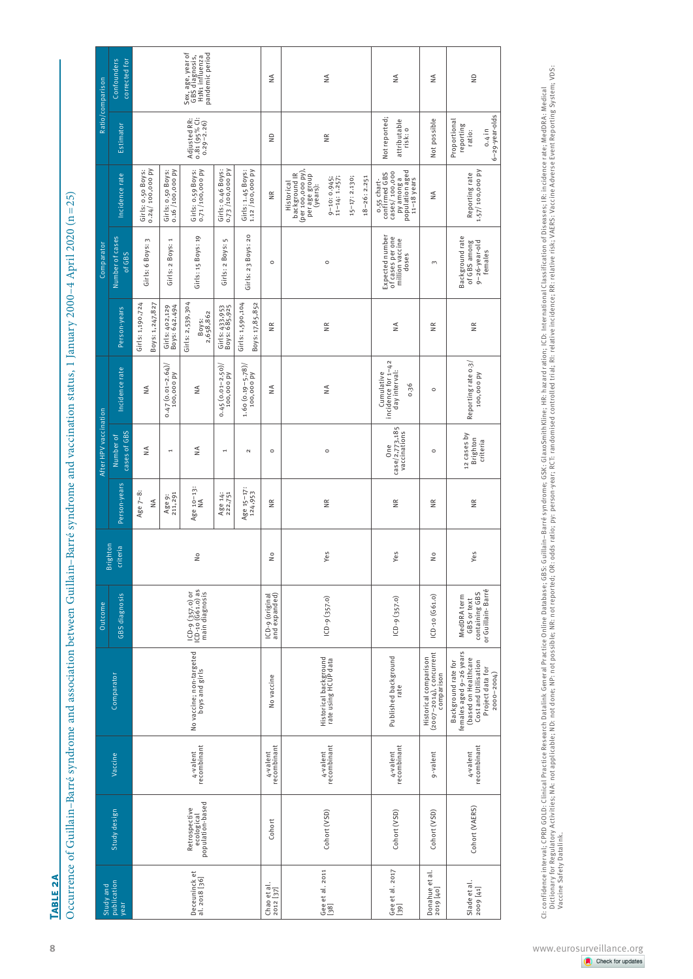|                                  |                                                 |                         |                                                                                                                                     | Outcome                                                             | ≃                    |                         | After HPV vaccination                 |                                                           |                                        | Comparator                                                      |                                                                                                                                                 |                                                                          | Ratio/comparison                                                         |
|----------------------------------|-------------------------------------------------|-------------------------|-------------------------------------------------------------------------------------------------------------------------------------|---------------------------------------------------------------------|----------------------|-------------------------|---------------------------------------|-----------------------------------------------------------|----------------------------------------|-----------------------------------------------------------------|-------------------------------------------------------------------------------------------------------------------------------------------------|--------------------------------------------------------------------------|--------------------------------------------------------------------------|
| Study and<br>publication<br>year | Study design                                    | Vaccine                 | Comparator                                                                                                                          | GBS diagnosis                                                       | irighton<br>criteria | Person-years            | cases of GBS<br>Number of             | Incidence rate                                            | Person-years                           | Number of cases<br>of GBS                                       | Incidence rate                                                                                                                                  | Estimator                                                                | corrected for<br>Confounders                                             |
|                                  |                                                 |                         |                                                                                                                                     |                                                                     |                      | Age $7-8$<br>₹          | ₹                                     | ≨                                                         | Girls: 1,190,724<br>Boys: 1,247,827    | $\sim$<br>Girls: 6 Boys:                                        | Girls: 0.50 Boys:<br>0.24/ 100,000 PV                                                                                                           |                                                                          |                                                                          |
|                                  |                                                 |                         |                                                                                                                                     |                                                                     |                      | Age 9:<br>211, 291      | $\overline{\phantom{a}}$              | $0.47(0.01 - 2.64)/$<br>100,000 py                        | Girls: 402,129<br>Boys: 642,494        | $\overline{\phantom{a}}$<br>Boys:<br>Girls: 2                   | Girls: 0.50 Boys:<br>0.16 /100,000 PV                                                                                                           |                                                                          |                                                                          |
| Deceuninck et<br>al. 2018 [36]   | Retrospective<br>ecological<br>population-based | 4-valent<br>recombinant | No vaccine; non-targeted<br>boys and girls                                                                                          | ICD-9 (357.0) or<br>ICD-10 (G61.0) as<br>main diagnosis             | $\frac{1}{2}$        | Age 10-13:<br>NA        | ≨                                     | ≨                                                         | Girls: 2,539,304<br>Boys:<br>2,658,862 | Girls: 15 Boys: 19                                              | Girls: 0.59 Boys:<br>0.71 /100,000 PV                                                                                                           | $\cdot$<br>Adjusted RR:<br>0.81 (95% Cl:<br>0.29–2.26)                   | Sex, age, year of<br>GBS diagnosis,<br>H1N1 influenza<br>pandemic period |
|                                  |                                                 |                         |                                                                                                                                     |                                                                     |                      | Age 14:<br>222,751      | $\overline{\phantom{a}}$              | $0.45(0.01-2.50)/$                                        | Girls: 433,953<br>Boys: 685,925        | S<br>Boys:<br>Girls: 2                                          | Girls: 0.46 Boys:<br>0.73 /100,000 PY                                                                                                           |                                                                          |                                                                          |
|                                  |                                                 |                         |                                                                                                                                     |                                                                     |                      | Age 15-17:<br>124,953   | $\mathsf N$                           | 1.60 (0.19–5.78)/<br>100,000 py                           | Boys: 17,85,852<br>Girls: 1,590,104    | 20<br>23 Boys:<br>Girls:                                        | Girls: 1.45 Boys:<br>1.12 /100,000 PY                                                                                                           |                                                                          |                                                                          |
| ${\frac{1}{2012}}$ [37]          | Cohort                                          | 4-valent<br>recombinant | No vaccine                                                                                                                          | ICD-9 (original<br>and expanded)                                    | $\frac{1}{2}$        | $\frac{\kappa}{\kappa}$ | $\circ$                               | ≨                                                         | $\widetilde{\equiv}$                   | $\circ$                                                         | $\widetilde{\equiv}$                                                                                                                            | $\frac{D}{Z}$                                                            | ₹                                                                        |
| Gee et al. 2011<br>[38]          | Cohort (VSD)                                    | 4-valent<br>recombinant | Historical background<br>rate using HCUP data                                                                                       | $ICD - 9 (357.0)$                                                   | Yes                  | $\frac{\alpha}{\alpha}$ | $\circ$                               | ₹                                                         | $\widetilde{\Xi}$                      | $\circ$                                                         | background IR<br>(per 100,000 py),<br>per age group<br>(years):<br>15-17: 2.130;<br>18-26: 2.251<br>9-10: 0.945;<br>11-14: 1.257;<br>Historical | $\widetilde{\Xi}$                                                        | ₹                                                                        |
| Gee et al. 2017<br>[39]          | Cohort (VSD)                                    | 4-valent<br>recombinant | Published background<br>rate                                                                                                        | $ICD - 9 (357.0)$                                                   | Yes                  | NR                      | case/2,773,185<br>vaccinations<br>One | Cumulative<br>incidence for 1–42<br>day interval:<br>0.36 | ≨                                      | Expected number<br>of cases per one<br>million vaccine<br>doses | py among a<br>population aged<br>11–18 years<br>o.55 chart-<br>confirmed GBS<br>cases/ 100,000                                                  | Not reported;<br>attributable<br>risk: o                                 | ₹                                                                        |
| Donahue et al.<br>2019 [40]      | Cohort (VSD)                                    | 9-valent                | Historical comparison<br>(2007–2014), concurrent<br>comparison                                                                      | $[CD-10 (G61.0)$                                                    | $\frac{1}{2}$        | $\frac{\alpha}{\alpha}$ | $\circ$                               | $\circ$                                                   | $\widetilde{\Xi}$                      | $\sim$                                                          | ₹                                                                                                                                               | Not possible                                                             | ₹                                                                        |
| Slade et al.<br>2009 [41]        | Cohort (VAERS)                                  | recombinant<br>4-valent | females aged 9–26 years<br>(based on Healthcare<br>Cost and Utilisation<br>Background rate for<br>Project data for<br>$2000 - 2004$ | or Guillain - Barré<br>containing GBS<br>MedDRA term<br>GBS or text | Yes                  | $\frac{\alpha}{\alpha}$ | 12 cases by<br>Brighton<br>criteria   | Reporting rate 0.3/<br>100,000 PV                         | $\widetilde{\equiv}$                   | Background rate<br>of GBS among<br>9-26-year-old<br>females     | 1.57/100,000 py<br>Reporting rate                                                                                                               | $6 - 29 - year$ -olds<br>Proportional<br>reporting<br>$0.4$ in<br>ratio: | $\frac{0}{2}$                                                            |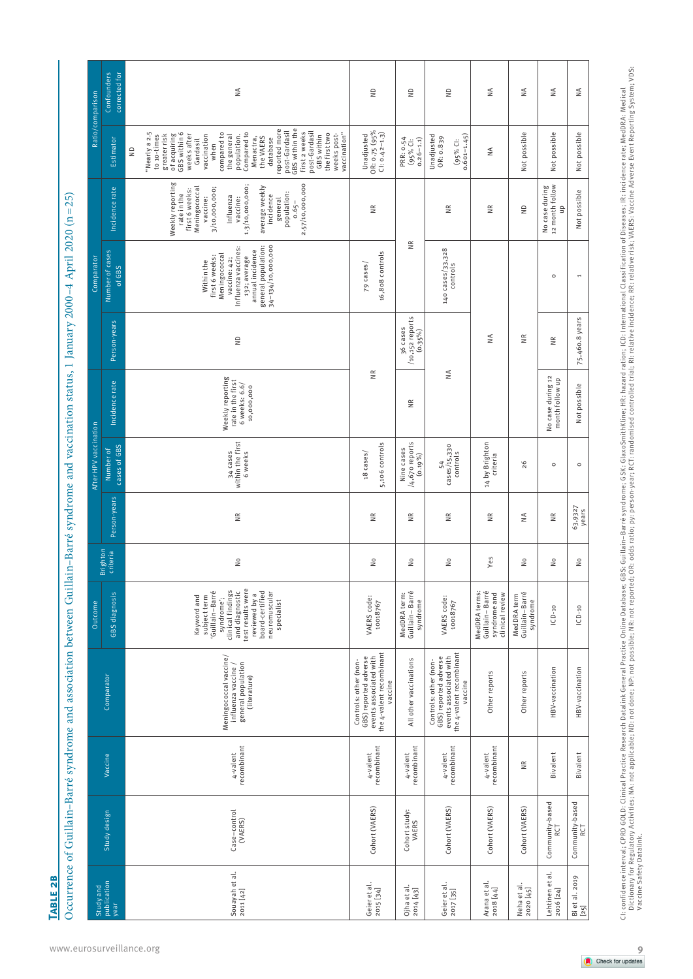TABLE<sub>2B</sub> **Table 2b**

Occurrence of Guillain-Barré syndrome and association between Guillain-Barré syndrome and vaccination status, 1 January 2000-4 April 2020 (n=25) Occurrence of Guillain–Barré syndrome and association between Guillain–Barré syndrome and vaccination status, 1 January 2000–4 April 2020 (n=25)

| Ratio/comparison      | Confounders<br>corrected for | $\frac{4}{2}$                                                                                                                                                                                                                                                                                                                                                                                      | S                                                                                                               | €                                          | €                                                                                                               | ≨                                                                  | $\stackrel{\triangle}{=}$                 | ≨                                      | ≨                        |
|-----------------------|------------------------------|----------------------------------------------------------------------------------------------------------------------------------------------------------------------------------------------------------------------------------------------------------------------------------------------------------------------------------------------------------------------------------------------------|-----------------------------------------------------------------------------------------------------------------|--------------------------------------------|-----------------------------------------------------------------------------------------------------------------|--------------------------------------------------------------------|-------------------------------------------|----------------------------------------|--------------------------|
|                       | Estimator                    | GBS within the<br>reported more<br>post-Gardasil<br>post-Gardasil<br>'Nearly a 2.5<br>first 2 weeks<br>GBS within 6<br>population.<br>Compared to<br>the first two<br>vaccination"<br>greater risk<br>of acquiring<br>compared to<br>weeks after<br>weeks post-<br>the general<br>to 10-times<br>vaccination<br>GBS within<br>the VAERS<br>Menactra,<br>database<br>Gardasil<br>when<br>$\epsilon$ | $OR: 0.75 (95%$<br>CI: 0.42-1.3)<br>Unadjusted                                                                  | PRR: 0.54<br>$(95%$ Cl:<br>$0.26 - 1.1$    | Unadjusted<br>$(95\%$ Cl:<br>0.601-1.45)<br>OR: 0.839                                                           | NA                                                                 | Not possible                              | Not possible                           | Not possible             |
|                       | Incidence rate               | Weekly reporting<br>2.57/10,000,000<br>1.3/10,000,000;<br>average weekly<br>incidence<br>3/10,000,000;<br>Meningococca<br>first 6 weeks:<br>population:<br>rate in the<br>Influenza<br>vaccine:<br>vaccine:<br>general<br>$0.65 -$                                                                                                                                                                 | ΒŘ                                                                                                              |                                            | Β                                                                                                               | ΒŘ                                                                 | S                                         | 12 month follow<br>No case during<br>읍 | Not possible             |
| Comparator            | Number of cases<br>of GBS    | 34-134/10,000,000<br>general population:<br>Influenza vaccines:<br>annual incidence<br>Meningococcal<br>first 6 weeks:<br>132; average<br>vaccine: 42;<br>Within the                                                                                                                                                                                                                               | 16,808 controls<br>79 cases/                                                                                    | š                                          | 140 cases/33,328<br>controls                                                                                    |                                                                    |                                           | $\circ$                                | $\overline{\phantom{a}}$ |
|                       | Person-years                 | $\frac{1}{2}$                                                                                                                                                                                                                                                                                                                                                                                      |                                                                                                                 | /10,152 reports<br>36 cases<br>$(0.35\%)$  |                                                                                                                 | NA                                                                 | $\frac{\alpha}{\alpha}$                   | ≝                                      | 75,460.8 years           |
|                       | Incidence rate               | Weekly reporting<br>rate in the first<br>6 weeks: 6.6/<br>10,000,000                                                                                                                                                                                                                                                                                                                               | $\frac{\alpha}{\alpha}$                                                                                         | $\widetilde{\Xi}$                          | $\frac{4}{2}$                                                                                                   |                                                                    |                                           | No case during 12<br>month follow up   | Not possible             |
| After HPV vaccination | cases of GBS<br>Number of    | within the first<br>34 cases<br>6 weeks                                                                                                                                                                                                                                                                                                                                                            | 5,106 controls<br>18 cases/                                                                                     | /4,670 reports<br>Nine cases<br>$(0.19\%)$ | cases/15,330<br>controls<br>54                                                                                  | 14 by Brighton<br>criteria                                         | 26                                        | $\circ$                                | $\circ$                  |
|                       | Person-years                 | $\frac{\alpha}{\alpha}$                                                                                                                                                                                                                                                                                                                                                                            | $\frac{\alpha}{\alpha}$                                                                                         | $\frac{\alpha}{\alpha}$                    | $\frac{\alpha}{\alpha}$                                                                                         | ΝK                                                                 | ₹                                         | $\frac{\alpha}{\alpha}$                | 63,9327<br>years         |
|                       | <b>Brighton</b><br>criteria  | $\frac{1}{2}$                                                                                                                                                                                                                                                                                                                                                                                      | $\frac{1}{2}$                                                                                                   | š                                          | ş                                                                                                               | Yes                                                                | $\stackrel{\circ}{\simeq}$                | å                                      | $\frac{1}{2}$            |
| Outcome               | GBS diagnosis                | test results were<br>clinical findings<br>Guillain-Barré<br>and diagnostic<br>board-certified<br>neuromuscular<br>reviewed by a<br>Keyword and<br>subject term<br>syndrome';<br>specialist                                                                                                                                                                                                         | VAERS code:<br>10018767                                                                                         | MedDRA term:<br>Guillain-Barré<br>syndrome | VAERS code:<br>10018767                                                                                         | MedDRA terms:<br>Guillain-Barré<br>syndrome and<br>clinical review | Guillain-Barré<br>MedDRA term<br>syndrome | $ICD-10$                               | $ICD-10$                 |
|                       | Comparator                   | Meningococcal vaccine/<br>influenza vaccine /<br>general population<br>(literature)                                                                                                                                                                                                                                                                                                                | the 4-valent recombinant<br>events associated with<br>GBS) reported adverse<br>Controls: other (non-<br>vaccine | All other vaccinations                     | the 4-valent recombinant<br>events associated with<br>GBS) reported adverse<br>Controls: other (non-<br>vaccine | Other reports                                                      | Other reports                             | HBV-vaccination                        | HBV-vaccination          |
|                       | Vaccine                      | recombinant<br>4-valent                                                                                                                                                                                                                                                                                                                                                                            | recombinant<br>4-valent                                                                                         | recombinant<br>4-valent                    | recombinant<br>4-valent                                                                                         | recombinant<br>4-valent                                            | $\frac{\alpha}{\alpha}$                   | Bivalent                               | Bivalent                 |
|                       | Study design                 | Case-control<br>(VAERS)                                                                                                                                                                                                                                                                                                                                                                            | Cohort (VAERS)                                                                                                  | Cohort study:<br>VAERS                     | Cohort (VAERS)                                                                                                  | Cohort (VAERS)                                                     | Cohort (VAERS)                            | Community-based<br><b>RCT</b>          | Community-based<br>RCT   |
| Study and             | publication<br>year          | Souayah et al.<br>2011 [42]                                                                                                                                                                                                                                                                                                                                                                        | Geier et al.<br>2015 <sub>[34]</sub>                                                                            | $O$ jha et al.<br>2014 [43]                | Geier et al.<br>2017 [35]                                                                                       | Arana et al.<br>2018 [44]                                          | Neha et al.<br>2020 [45]                  | Lehtinen et al.<br>2016 [24]           | Bi et al. 2019<br>$[25]$ |

CI: confidence interval; CPRD GOLD: Clinical Practice Research Datablik Ne Online Datables e; GBS: Guillain–Barré syndrome; GSK: GlaxoSmithKline; HR: hazard raiton; ICD: International Classification of Diseases; IR: incide Dictionary for Regulatory Activities; NA: not applicable; ND: not porsible; NR: not reported; OR: odds ratio; py: person-year; RCT: randomised controlled trial; RI: relative incidence; RR: relative risk; VAERS: Vaccine Adv Ci: confidence interval: CPRD GOLD: Clinical Practice Research Datablink General Practice Online Database; GBS: Guillain–Barré syndrome; GSK: GlaxoSmithKline; HR: hazard ration; ICD: International Classification of Disease Vaccine Safety Datalink.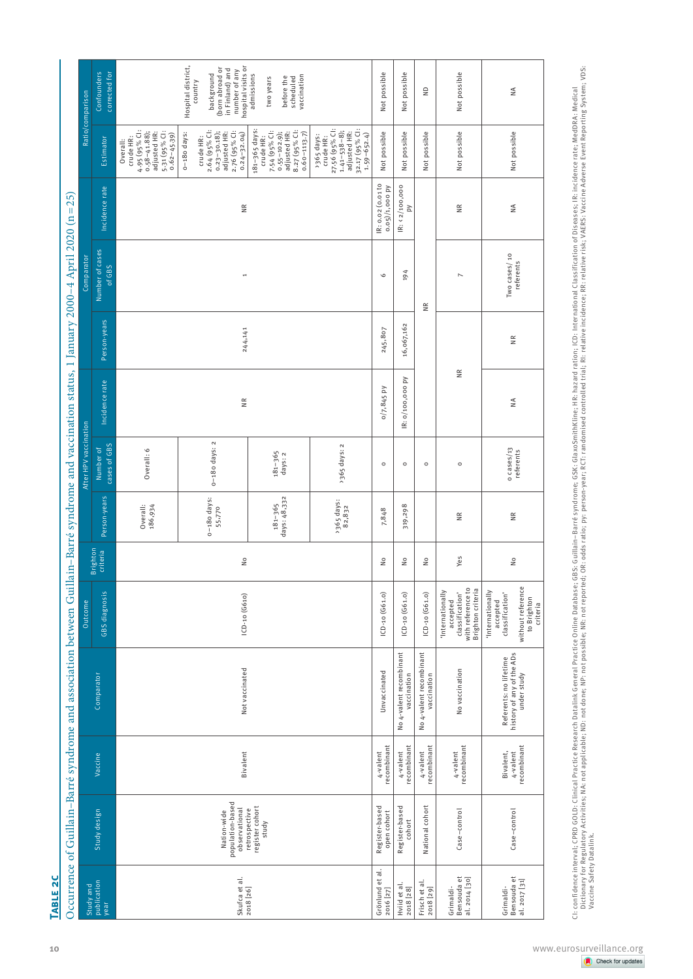| Study and                                                         |                                      |                                                                    | Outcome                                                                                         |                            |                             | After HPV vaccination       |                      |               | Comparator                |                                       |                                                                                                                     | Ratio/comparison                                                                                                                                                                                                                                                                                                               |
|-------------------------------------------------------------------|--------------------------------------|--------------------------------------------------------------------|-------------------------------------------------------------------------------------------------|----------------------------|-----------------------------|-----------------------------|----------------------|---------------|---------------------------|---------------------------------------|---------------------------------------------------------------------------------------------------------------------|--------------------------------------------------------------------------------------------------------------------------------------------------------------------------------------------------------------------------------------------------------------------------------------------------------------------------------|
| Study design<br>publication                                       | Vaccine                              | Comparator                                                         | GBS diagnosis                                                                                   | Brighton<br>criteria       | Person-years                | cases of GBS<br>Numberof    | Incidence rate       | Person-years  | Number of cases<br>of GBS | Incidence rate                        | Estimator                                                                                                           | Confounders<br>corrected for                                                                                                                                                                                                                                                                                                   |
|                                                                   |                                      |                                                                    |                                                                                                 |                            | Overall:<br>186,934         | Overall: 6                  |                      |               |                           |                                       | $4.95 (95\%$ Cl:<br>0.58-41.88);<br>5-31 (95% CI:<br>adjusted HR:<br>$0.62 - 45.39$<br>crude HR:<br>Overall:        |                                                                                                                                                                                                                                                                                                                                |
| population-based<br>observational<br>Nation-wide<br>Skufca et al. | Bivalent                             | Not vaccinated                                                     | $ CD-10 (G610)$                                                                                 | $\frac{1}{2}$              | o-18o days:<br>55,770       | $0-180$ days: $2$           | $\widetilde{\Xi}$    | 244,141       | $\overline{\phantom{a}}$  | $\frac{\alpha}{\alpha}$               | 2.64 (95% Cl:<br>$0.23 - 30.18$ ;<br>2.76 (95% Cl:<br>adjusted HR:<br>o-18o days:<br>$0.24 - 32.04$<br>crude HR:    | hospital visits or<br>Hospital district,<br>(born abroad or<br>in Finland) and<br>number of any<br>background<br>country                                                                                                                                                                                                       |
| register cohort<br>retrospective<br>study<br>2018 [26]            |                                      |                                                                    |                                                                                                 |                            | days: 48,332<br>$181 - 365$ | $181 - 365$<br>days: 2      |                      |               |                           |                                       | 181-365 days:<br>7-54 (95% CI:<br>8.27 (95% Cl:<br>$0.55 - 102.9$ ;<br>adjusted HR:<br>$0.60 - 1113.7$<br>crude HR: | admissions<br>vaccination<br>before the<br>scheduled<br>two years                                                                                                                                                                                                                                                              |
|                                                                   |                                      |                                                                    |                                                                                                 |                            | > 365 days:<br>82,832       | >365 days: 2                |                      |               |                           |                                       | 27.56 (95% Cl:<br>1.41–538–8);<br>adjusted HR:<br>32.17 (95% Cl:<br>$1.59 - 652.4$<br>> 365 days:<br>crude HR:      |                                                                                                                                                                                                                                                                                                                                |
| Register-based<br>open cohort<br>Grönlund et al.<br>2016 [27]     | recombinant<br>4-valent              | Unvaccinated                                                       | $[CD-10 (G61.0)$                                                                                | $\frac{1}{2}$              | 7,848                       | $\circ$                     | $0/7, 845$ PV        | 245,807       | $\circ$                   | IR: 0.02 (0.01 to<br>$0.05)/1,000$ py | Not possible                                                                                                        | Not possible                                                                                                                                                                                                                                                                                                                   |
| Register-based<br>cohort<br>Hviid et al.<br>2018 [28]             | recombinant<br>4-valent              | No 4-valent recombinant<br>vaccination                             | $[CD-10 (G61.0)$                                                                                | $\stackrel{\circ}{\simeq}$ | 319,298                     | $\circ$                     | Σ<br>IR: 0/100,000   | 16,067,162    | 194                       | IR: < 2/100,000<br>Σ                  | Not possible                                                                                                        | Not possible                                                                                                                                                                                                                                                                                                                   |
| National cohort<br>Frisch et al.<br>2018 [29]                     | recombinant<br>4-valent              | No 4-valent recombinant<br>vaccination                             | $[CD-10 (G61.0)$                                                                                | $\frac{1}{2}$              |                             | $\circ$                     |                      |               | $\widetilde{\Xi}$         |                                       | Not possible                                                                                                        | $\mathrel{\mathop{\raisebox{1.5pt}{\scriptsize\scriptstyle\mathop{\mathop{\scriptstyle\mathop{\scriptstyle\mathop{\scriptstyle\mathop{\scriptstyle\mathop{\scriptstyle\mathop{\scriptstyle\mathop{\scriptstyle\mathop{\scriptstyle\mathop{\scriptstyle\mathop{\scriptstyle\mathop{\scriptstyle\mathop{\cal E}}}}}}}}}}}\math>$ |
| Case-control<br>Grimaldi-<br>Bensouda et<br>al. 2014 [30]         | recombinant<br>4-valent              | No vaccination                                                     | classification'<br>with reference to<br>Brighton criteria<br>'Internationally<br>accepted       | Yes                        | $\frac{R}{R}$               | $\circ$                     | $\widetilde{\equiv}$ |               | $\overline{ }$            | $\frac{R}{R}$                         | Not possible                                                                                                        | Not possible                                                                                                                                                                                                                                                                                                                   |
| Case-control<br>Bensouda et<br>al. 2017 [31]<br>Grimaldi-         | recombinant<br>Bivalent,<br>4-valent | history of any of the ADs<br>Referents: no lifetime<br>under study | without reference<br>'Internationally<br>classification'<br>to Brighton<br>accepted<br>criteria | $\frac{1}{2}$              | $\frac{\alpha}{\alpha}$     | $0 \ncases/13$<br>referents | $\frac{4}{2}$        | $\frac{R}{R}$ | Two cases/10<br>referents | $\frac{4}{2}$                         | Not possible                                                                                                        | $\stackrel{\triangle}{\geq}$                                                                                                                                                                                                                                                                                                   |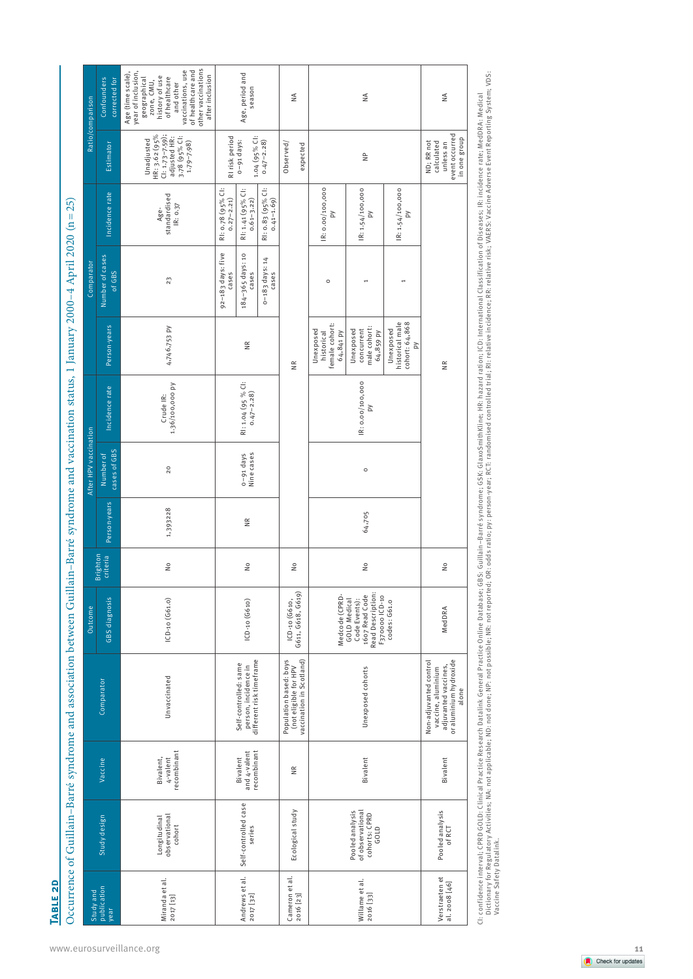| ì<br>l                                                                                                                                                                                                                         |
|--------------------------------------------------------------------------------------------------------------------------------------------------------------------------------------------------------------------------------|
| ļ                                                                                                                                                                                                                              |
|                                                                                                                                                                                                                                |
|                                                                                                                                                                                                                                |
|                                                                                                                                                                                                                                |
|                                                                                                                                                                                                                                |
| ֧֖֖֖֧ׅ֖֧ׅ֖֧֪֧֖֧֧֧֪֧֧֧֧֧֧֧֧֚֚֚֚֚֚֚֚֚֚֚֚֚֚֚֚֚֚֚֚֚֚֚֚֚֚֚֝֝֝֬֝֓֞֝֓֞֝֬֝֓֞֝֬֝֬֝֬֝֬֝֬֝֬֝֬֝֬֝֬֝֬֝֬֝֬֝֬֝֬֝֬                                                                                                                             |
| ׇ֚֘֝֬                                                                                                                                                                                                                          |
|                                                                                                                                                                                                                                |
| I                                                                                                                                                                                                                              |
|                                                                                                                                                                                                                                |
|                                                                                                                                                                                                                                |
|                                                                                                                                                                                                                                |
| I                                                                                                                                                                                                                              |
|                                                                                                                                                                                                                                |
|                                                                                                                                                                                                                                |
|                                                                                                                                                                                                                                |
|                                                                                                                                                                                                                                |
|                                                                                                                                                                                                                                |
|                                                                                                                                                                                                                                |
|                                                                                                                                                                                                                                |
| きくそう ちゃくくくとう て                                                                                                                                                                                                                 |
|                                                                                                                                                                                                                                |
|                                                                                                                                                                                                                                |
| an an ann an a                                                                                                                                                                                                                 |
|                                                                                                                                                                                                                                |
|                                                                                                                                                                                                                                |
|                                                                                                                                                                                                                                |
| )<br>States<br>States                                                                                                                                                                                                          |
|                                                                                                                                                                                                                                |
| l<br>I                                                                                                                                                                                                                         |
|                                                                                                                                                                                                                                |
|                                                                                                                                                                                                                                |
| ֚֘֝֬                                                                                                                                                                                                                           |
| is a company of the company of the company of the company of the company of the company of the company of the company of the company of the company of the company of the company of the company of the company of the company |
|                                                                                                                                                                                                                                |
|                                                                                                                                                                                                                                |
|                                                                                                                                                                                                                                |
|                                                                                                                                                                                                                                |
|                                                                                                                                                                                                                                |
| <b>nese</b>                                                                                                                                                                                                                    |
|                                                                                                                                                                                                                                |
|                                                                                                                                                                                                                                |
|                                                                                                                                                                                                                                |
| Ì<br>١                                                                                                                                                                                                                         |
|                                                                                                                                                                                                                                |
|                                                                                                                                                                                                                                |
|                                                                                                                                                                                                                                |
| ֧֖֧֧֧֧֧֧֧֧֦֧֧֧֧֧֧֦֧֪֪֪֧֛֪֪֧֧֧֧֧֧֧֧֧֧֧֧֧֧֧֧֧֚֚֚֚֚֚֚֚֚֚֚֚֚֚֚֚֚֚֚֚֚֚֚֚֝֝֓֝֓֝֬֝֓֝֓֬֓֬֓֓֝֬֓֞                                                                                                                                        |
| ׇ֘֝֬֝                                                                                                                                                                                                                          |
| i                                                                                                                                                                                                                              |
|                                                                                                                                                                                                                                |
|                                                                                                                                                                                                                                |
|                                                                                                                                                                                                                                |
|                                                                                                                                                                                                                                |
|                                                                                                                                                                                                                                |
|                                                                                                                                                                                                                                |
|                                                                                                                                                                                                                                |
|                                                                                                                                                                                                                                |

| Confounders<br>corrected for<br>Ratio/comparison<br>Estimator |                                          | other vaccinations<br>vaccinations, use<br>of healthcare and<br>Age (time scale),<br>year of inclusion,<br>after inclusion<br>geographical<br>zone, CMU,<br>history of use<br>of healthcare<br>and other<br>Cl: 1.73–7.59);<br>adjusted HR:<br>HR: 3.62 (95%<br>3.78 (95% Cl:<br>Unadjusted<br>$1.79 - 7.98$ | RI risk period                     | Age, period and<br>season<br>o-91 days:       | $1.04$ (95% Cl:<br>0.47-2.28)      | $\leq$<br>Observed/<br>expected                                             |                                                        | $\frac{4}{2}$<br>$\stackrel{\text{p}}{\equiv}$                              |                                                     |
|---------------------------------------------------------------|------------------------------------------|--------------------------------------------------------------------------------------------------------------------------------------------------------------------------------------------------------------------------------------------------------------------------------------------------------------|------------------------------------|-----------------------------------------------|------------------------------------|-----------------------------------------------------------------------------|--------------------------------------------------------|-----------------------------------------------------------------------------|-----------------------------------------------------|
| Incidence rate                                                |                                          | standardised<br>IR: 0.37<br>Age-                                                                                                                                                                                                                                                                             | RI: 0.78 (95% CI:<br>$0.27 - 2.21$ | RI: 1.41 (95% CI:<br>$0.61 - 3.22$            | RI: 0.83 (95% CI:<br>$0.41 - 1.69$ |                                                                             | IR: 0.00/100,000<br>Σ                                  | R: 1.54/100,000<br>Ρy                                                       | IR: 1.54/100,000<br>Σ                               |
| of GBS                                                        |                                          | 23                                                                                                                                                                                                                                                                                                           | 92-183 days: five<br>cases         | 184-365 days: 10<br>cases                     | 0-183 days: 14<br>cases            |                                                                             | $\circ$                                                | $\overline{ }$                                                              | $\overline{\phantom{a}}$                            |
|                                                               | 4,746,753 PV                             |                                                                                                                                                                                                                                                                                                              |                                    | $\frac{\alpha}{\alpha}$                       |                                    | $\frac{\alpha}{\alpha}$                                                     | female cohort:<br>Unexposed<br>64,841 PV<br>historical | male cohort:<br>Unexposed<br>concurrent<br>64,859 PY                        | historical male<br>cohort: 64,868<br>Unexposed<br>N |
|                                                               | 1.36/100,000 PV<br>Crude IR:             |                                                                                                                                                                                                                                                                                                              |                                    | RI: $1.04$ (95 % CI:<br>0.47-2.28)            |                                    |                                                                             |                                                        | IR: 0.00/100,000<br>Σ                                                       |                                                     |
|                                                               | 20                                       |                                                                                                                                                                                                                                                                                                              |                                    | o-91 days<br>Nine cases                       |                                    |                                                                             |                                                        | $\circ$                                                                     |                                                     |
|                                                               | 1,393228                                 |                                                                                                                                                                                                                                                                                                              |                                    | $\frac{R}{R}$                                 |                                    |                                                                             |                                                        | 64,705                                                                      |                                                     |
|                                                               | $\frac{1}{2}$                            |                                                                                                                                                                                                                                                                                                              |                                    | $\frac{1}{2}$                                 |                                    | $\frac{1}{2}$                                                               |                                                        | $\frac{1}{2}$                                                               |                                                     |
| GBS diagnosis                                                 | $[CD-10 (G61.0)$                         |                                                                                                                                                                                                                                                                                                              |                                    | $[CD-10 (G610)$                               |                                    | ICD-10 (G610,<br>G611, G618, G619)                                          | Medcode (CPRD                                          | 1607 Read Code<br>Read Description:<br><b>GOLD Medical</b><br>Code Events): | F370000 ICD-10<br>codes: G61.0                      |
|                                                               | Unvaccinated                             |                                                                                                                                                                                                                                                                                                              |                                    | Self-controlled: same<br>person, incidence in | different risk timeframe           | (not eligible for HPV<br>vaccination in Scotland)<br>Population based: boys |                                                        | Unexposed cohorts                                                           |                                                     |
|                                                               | recombinant<br>Bivalent,<br>$4\nu$ alent |                                                                                                                                                                                                                                                                                                              |                                    | and 4-valent<br>Bivalent                      | recombinant                        | $\widetilde{\Xi}$                                                           |                                                        | Bivalent                                                                    |                                                     |
|                                                               | Longitudinal<br>observational<br>cohort  |                                                                                                                                                                                                                                                                                                              |                                    | Self-controlled case<br>series                |                                    | Ecological study                                                            |                                                        | Pooled analysis<br>of observational<br>cohorts: CPRD<br>GOLD                |                                                     |
| publication<br>year                                           | Miranda et al.<br>2017 [13]              |                                                                                                                                                                                                                                                                                                              |                                    | Andrews et al.<br>2017 [32]                   |                                    | Cameron et al.<br>2016 [23]                                                 |                                                        | Willame et al.<br>2016 [33]                                                 |                                                     |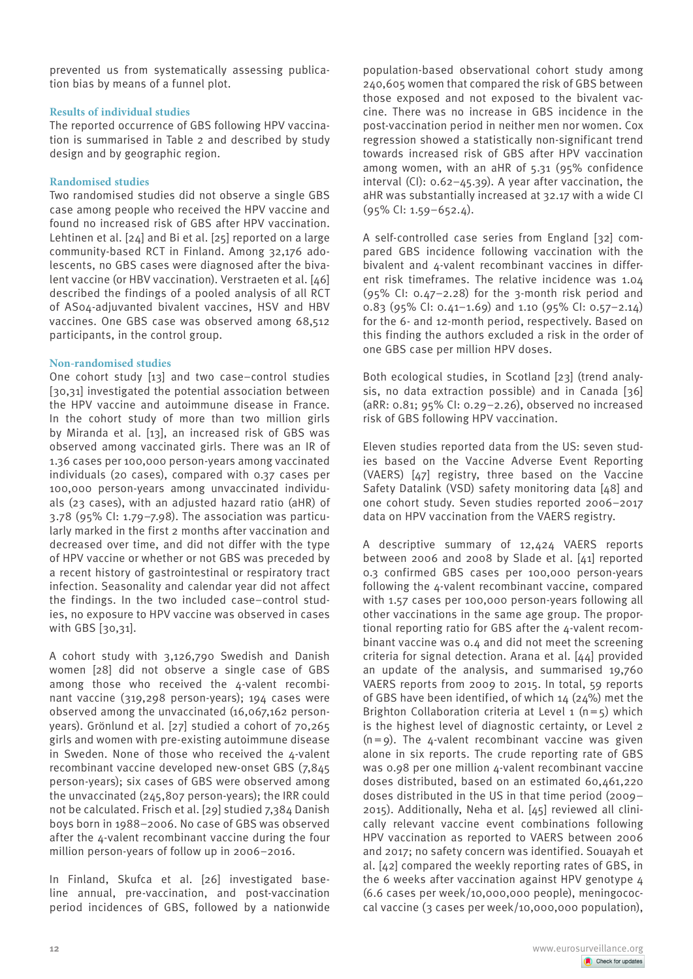prevented us from systematically assessing publication bias by means of a funnel plot.

## **Results of individual studies**

The reported occurrence of GBS following HPV vaccination is summarised in Table 2 and described by study design and by geographic region.

# **Randomised studies**

Two randomised studies did not observe a single GBS case among people who received the HPV vaccine and found no increased risk of GBS after HPV vaccination. Lehtinen et al. [24] and Bi et al. [25] reported on a large community-based RCT in Finland. Among 32,176 adolescents, no GBS cases were diagnosed after the bivalent vaccine (or HBV vaccination). Verstraeten et al. [46] described the findings of a pooled analysis of all RCT of AS04-adjuvanted bivalent vaccines, HSV and HBV vaccines. One GBS case was observed among 68,512 participants, in the control group.

# **Non-randomised studies**

One cohort study [13] and two case–control studies [30,31] investigated the potential association between the HPV vaccine and autoimmune disease in France. In the cohort study of more than two million girls by Miranda et al. [13], an increased risk of GBS was observed among vaccinated girls. There was an IR of 1.36 cases per 100,000 person-years among vaccinated individuals (20 cases), compared with 0.37 cases per 100,000 person-years among unvaccinated individuals (23 cases), with an adjusted hazard ratio (aHR) of 3.78 (95% CI: 1.79–7.98). The association was particularly marked in the first 2 months after vaccination and decreased over time, and did not differ with the type of HPV vaccine or whether or not GBS was preceded by a recent history of gastrointestinal or respiratory tract infection. Seasonality and calendar year did not affect the findings. In the two included case–control studies, no exposure to HPV vaccine was observed in cases with GBS [30,31].

A cohort study with 3,126,790 Swedish and Danish women [28] did not observe a single case of GBS among those who received the  $\Delta$ -valent recombinant vaccine (319,298 person-years); 194 cases were observed among the unvaccinated (16,067,162 personyears). Grönlund et al. [27] studied a cohort of 70,265 girls and women with pre-existing autoimmune disease in Sweden. None of those who received the  $\Delta$ -valent recombinant vaccine developed new-onset GBS (7,845 person-years); six cases of GBS were observed among the unvaccinated (245,807 person-years); the IRR could not be calculated. Frisch et al. [29] studied 7,384 Danish boys born in 1988–2006. No case of GBS was observed after the  $\Delta$ -valent recombinant vaccine during the four million person-years of follow up in 2006–2016.

In Finland, Skufca et al. [26] investigated baseline annual, pre-vaccination, and post-vaccination period incidences of GBS, followed by a nationwide population-based observational cohort study among 240,605 women that compared the risk of GBS between those exposed and not exposed to the bivalent vaccine. There was no increase in GBS incidence in the post-vaccination period in neither men nor women. Cox regression showed a statistically non-significant trend towards increased risk of GBS after HPV vaccination among women, with an aHR of 5.31 (95% confidence interval (CI): 0.62–45.39). A year after vaccination, the aHR was substantially increased at 32.17 with a wide CI (95% CI: 1.59–652.4).

A self-controlled case series from England [32] compared GBS incidence following vaccination with the bivalent and 4-valent recombinant vaccines in different risk timeframes. The relative incidence was 1.04  $(95\%$  CI: 0.47-2.28) for the 3-month risk period and 0.83 (95% CI: 0.41–1.69) and 1.10 (95% CI: 0.57–2.14) for the 6- and 12-month period, respectively. Based on this finding the authors excluded a risk in the order of one GBS case per million HPV doses.

Both ecological studies, in Scotland [23] (trend analysis, no data extraction possible) and in Canada [36] (aRR: 0.81; 95% CI: 0.29–2.26), observed no increased risk of GBS following HPV vaccination.

Eleven studies reported data from the US: seven studies based on the Vaccine Adverse Event Reporting (VAERS) [47] registry, three based on the Vaccine Safety Datalink (VSD) safety monitoring data [48] and one cohort study. Seven studies reported 2006–2017 data on HPV vaccination from the VAERS registry.

A descriptive summary of 12,424 VAERS reports between 2006 and 2008 by Slade et al. [41] reported 0.3 confirmed GBS cases per 100,000 person-years following the 4-valent recombinant vaccine, compared with 1.57 cases per 100,000 person-years following all other vaccinations in the same age group. The proportional reporting ratio for GBS after the 4-valent recombinant vaccine was 0.4 and did not meet the screening criteria for signal detection. Arana et al. [44] provided an update of the analysis, and summarised 19,760 VAERS reports from 2009 to 2015. In total, 59 reports of GBS have been identified, of which  $14$  ( $24\%$ ) met the Brighton Collaboration criteria at Level 1  $(n=5)$  which is the highest level of diagnostic certainty, or Level 2  $(n=9)$ . The 4-valent recombinant vaccine was given alone in six reports. The crude reporting rate of GBS was 0.98 per one million 4-valent recombinant vaccine doses distributed, based on an estimated 60,461,220 doses distributed in the US in that time period (2009– 2015). Additionally, Neha et al. [45] reviewed all clinically relevant vaccine event combinations following HPV vaccination as reported to VAERS between 2006 and 2017; no safety concern was identified. Souayah et al. [42] compared the weekly reporting rates of GBS, in the 6 weeks after vaccination against HPV genotype 4 (6.6 cases per week/10,000,000 people), meningococcal vaccine (3 cases per week/10,000,000 population),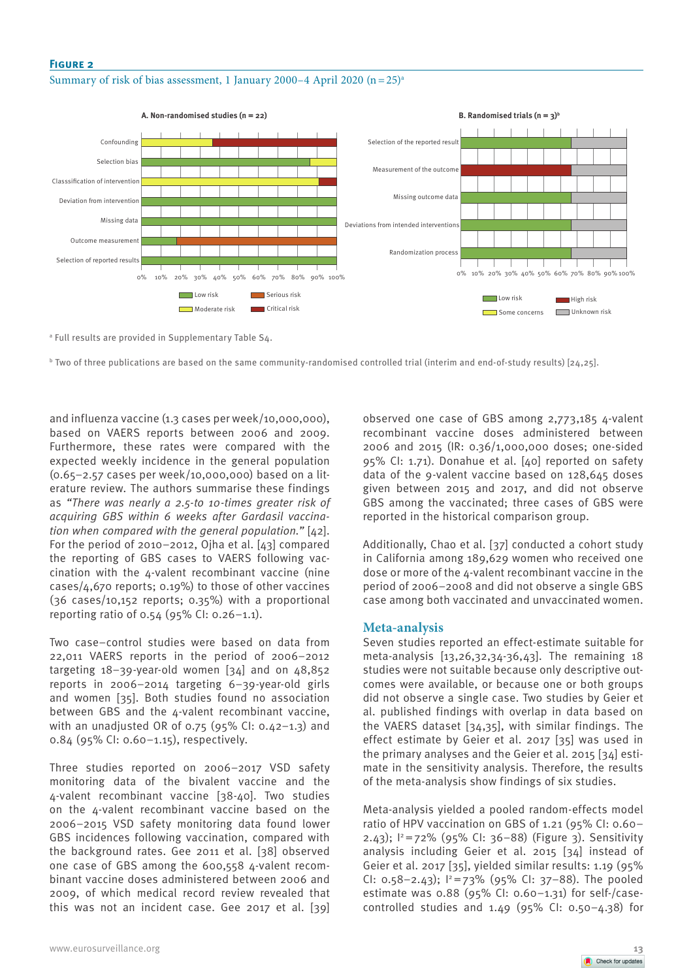## **Figure 2**

Summary of risk of bias assessment, 1 January 2000–4 April 2020  $(n=25)^{a}$ 



a Full results are provided in Supplementary Table S4.

 $^{\rm b}$  Two of three publications are based on the same community-randomised controlled trial (interim and end-of-study results) [24,25].

and influenza vaccine (1.3 cases per week/10,000,000), based on VAERS reports between 2006 and 2009. Furthermore, these rates were compared with the expected weekly incidence in the general population (0.65–2.57 cases per week/10,000,000) based on a literature review. The authors summarise these findings as *"There was nearly a 2.5-to 10-times greater risk of acquiring GBS within 6 weeks after Gardasil vaccination when compared with the general population."* [42]. For the period of 2010–2012, Ojha et al. [43] compared the reporting of GBS cases to VAERS following vaccination with the 4-valent recombinant vaccine (nine cases/4,670 reports; 0.19%) to those of other vaccines (36 cases/10,152 reports; 0.35%) with a proportional reporting ratio of 0.54 (95% CI: 0.26–1.1).

Two case–control studies were based on data from 22,011 VAERS reports in the period of 2006–2012 targeting  $18-39$ -year-old women  $[34]$  and on  $48,852$ reports in 2006–2014 targeting 6–39-year-old girls and women [35]. Both studies found no association between GBS and the 4-valent recombinant vaccine, with an unadjusted OR of 0.75 (95% CI: 0.42–1.3) and 0.84 (95% CI: 0.60–1.15), respectively.

Three studies reported on 2006–2017 VSD safety monitoring data of the bivalent vaccine and the 4-valent recombinant vaccine [38-40]. Two studies on the 4-valent recombinant vaccine based on the 2006–2015 VSD safety monitoring data found lower GBS incidences following vaccination, compared with the background rates. Gee 2011 et al. [38] observed one case of GBS among the 600,558 4-valent recombinant vaccine doses administered between 2006 and 2009, of which medical record review revealed that this was not an incident case. Gee 2017 et al. [39] observed one case of GBS among 2,773,185 4-valent recombinant vaccine doses administered between 2006 and 2015 (IR: 0.36/1,000,000 doses; one-sided 95% CI: 1.71). Donahue et al. [40] reported on safety data of the 9-valent vaccine based on 128,645 doses given between 2015 and 2017, and did not observe GBS among the vaccinated; three cases of GBS were reported in the historical comparison group.

Additionally, Chao et al. [37] conducted a cohort study in California among 189,629 women who received one dose or more of the 4-valent recombinant vaccine in the period of 2006–2008 and did not observe a single GBS case among both vaccinated and unvaccinated women.

## **Meta-analysis**

Seven studies reported an effect-estimate suitable for meta-analysis [13,26,32,34-36,43]. The remaining 18 studies were not suitable because only descriptive outcomes were available, or because one or both groups did not observe a single case. Two studies by Geier et al. published findings with overlap in data based on the VAERS dataset [34,35], with similar findings. The effect estimate by Geier et al. 2017 [35] was used in the primary analyses and the Geier et al. 2015 [34] estimate in the sensitivity analysis. Therefore, the results of the meta-analysis show findings of six studies.

Meta-analysis yielded a pooled random-effects model ratio of HPV vaccination on GBS of 1.21 (95% CI: 0.60– 2.43);  $1^2 = 72\%$  (95% CI: 36-88) (Figure 3). Sensitivity analysis including Geier et al. 2015 [34] instead of Geier et al. 2017 [35], yielded similar results: 1.19 (95% CI: 0.58-2.43);  $1^2$ =73% (95% CI: 37-88). The pooled estimate was 0.88 (95% CI: 0.60–1.31) for self-/casecontrolled studies and  $1.49$  (95% CI: 0.50-4.38) for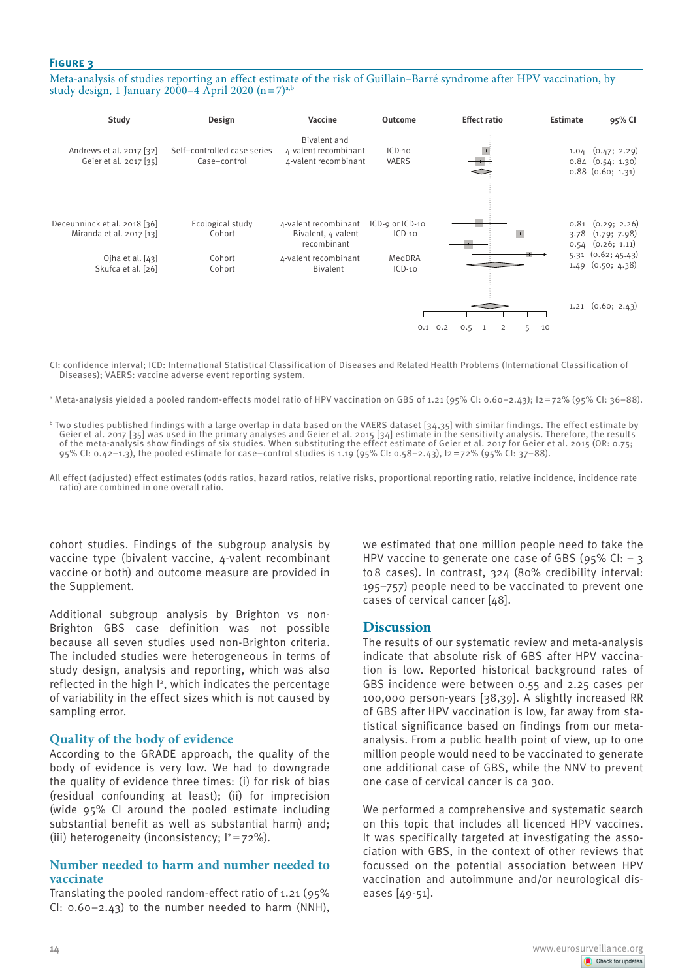# **Figure 3**

Meta-analysis of studies reporting an effect estimate of the risk of Guillain–Barré syndrome after HPV vaccination, by study design, 1 January 2000–4 April 2020  $(n=7)^{a}$ ,



CI: confidence interval; ICD: International Statistical Classification of Diseases and Related Health Problems (International Classification of Diseases); VAERS: vaccine adverse event reporting system.

a Meta-analysis yielded a pooled random-effects model ratio of HPV vaccination on GBS of 1.21 (95% CI: 0.60–2.43); I2=72% (95% CI: 36–88).

 $^{\rm b}$  Two studies published findings with a large overlap in data based on the VAERS dataset [34,35] with similar findings. The effect estimate by Geier et al. 2017 [35] was used in the primary analyses and Geier et al. 2015 [34] estimate in the sensitivity analysis. Therefore, the results of the meta-analysis show findings of six studies. When substituting the effect estimate of Geier et al. 2017 for Geier et al. 2015 (OR: 0.75; 95% CI: 0.42–1.3), the pooled estimate for case–control studies is 1.19 (95% CI: 0.58–2.43), I2=72% (95% CI: 37–88).

All effect (adjusted) effect estimates (odds ratios, hazard ratios, relative risks, proportional reporting ratio, relative incidence, incidence rate ratio) are combined in one overall ratio.

cohort studies. Findings of the subgroup analysis by vaccine type (bivalent vaccine, 4-valent recombinant vaccine or both) and outcome measure are provided in the Supplement.

Additional subgroup analysis by Brighton vs non-Brighton GBS case definition was not possible because all seven studies used non-Brighton criteria. The included studies were heterogeneous in terms of study design, analysis and reporting, which was also reflected in the high I2, which indicates the percentage of variability in the effect sizes which is not caused by sampling error.

# **Quality of the body of evidence**

According to the GRADE approach, the quality of the body of evidence is very low. We had to downgrade the quality of evidence three times: (i) for risk of bias (residual confounding at least); (ii) for imprecision (wide 95% CI around the pooled estimate including substantial benefit as well as substantial harm) and; (iii) heterogeneity (inconsistency:  $1^2$  = 72%).

# **Number needed to harm and number needed to vaccinate**

Translating the pooled random-effect ratio of 1.21 (95% CI: 0.60–2.43) to the number needed to harm (NNH),

we estimated that one million people need to take the HPV vaccine to generate one case of GBS (95% CI:  $-$  3 to8 cases). In contrast, 324 (80% credibility interval: 195–757) people need to be vaccinated to prevent one cases of cervical cancer [48].

## **Discussion**

The results of our systematic review and meta-analysis indicate that absolute risk of GBS after HPV vaccination is low. Reported historical background rates of GBS incidence were between 0.55 and 2.25 cases per 100,000 person-years [38,39]. A slightly increased RR of GBS after HPV vaccination is low, far away from statistical significance based on findings from our metaanalysis. From a public health point of view, up to one million people would need to be vaccinated to generate one additional case of GBS, while the NNV to prevent one case of cervical cancer is ca 300.

We performed a comprehensive and systematic search on this topic that includes all licenced HPV vaccines. It was specifically targeted at investigating the association with GBS, in the context of other reviews that focussed on the potential association between HPV vaccination and autoimmune and/or neurological diseases [49-51].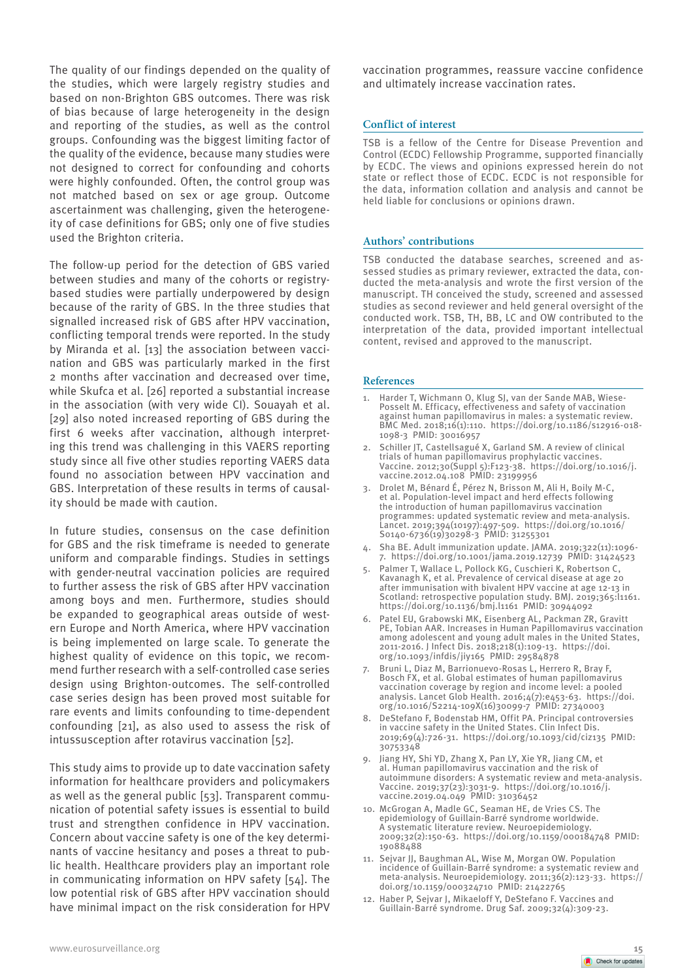The quality of our findings depended on the quality of the studies, which were largely registry studies and based on non-Brighton GBS outcomes. There was risk of bias because of large heterogeneity in the design and reporting of the studies, as well as the control groups. Confounding was the biggest limiting factor of the quality of the evidence, because many studies were not designed to correct for confounding and cohorts were highly confounded. Often, the control group was not matched based on sex or age group. Outcome ascertainment was challenging, given the heterogeneity of case definitions for GBS; only one of five studies used the Brighton criteria.

The follow-up period for the detection of GBS varied between studies and many of the cohorts or registrybased studies were partially underpowered by design because of the rarity of GBS. In the three studies that signalled increased risk of GBS after HPV vaccination, conflicting temporal trends were reported. In the study by Miranda et al. [13] the association between vaccination and GBS was particularly marked in the first 2 months after vaccination and decreased over time, while Skufca et al. [26] reported a substantial increase in the association (with very wide CI). Souayah et al. [29] also noted increased reporting of GBS during the first 6 weeks after vaccination, although interpreting this trend was challenging in this VAERS reporting study since all five other studies reporting VAERS data found no association between HPV vaccination and GBS. Interpretation of these results in terms of causality should be made with caution.

In future studies, consensus on the case definition for GBS and the risk timeframe is needed to generate uniform and comparable findings. Studies in settings with gender-neutral vaccination policies are required to further assess the risk of GBS after HPV vaccination among boys and men. Furthermore, studies should be expanded to geographical areas outside of western Europe and North America, where HPV vaccination is being implemented on large scale. To generate the highest quality of evidence on this topic, we recommend further research with a self-controlled case series design using Brighton-outcomes. The self-controlled case series design has been proved most suitable for rare events and limits confounding to time-dependent confounding [21], as also used to assess the risk of intussusception after rotavirus vaccination [52].

This study aims to provide up to date vaccination safety information for healthcare providers and policymakers as well as the general public [53]. Transparent communication of potential safety issues is essential to build trust and strengthen confidence in HPV vaccination. Concern about vaccine safety is one of the key determinants of vaccine hesitancy and poses a threat to public health. Healthcare providers play an important role in communicating information on HPV safety [54]. The low potential risk of GBS after HPV vaccination should have minimal impact on the risk consideration for HPV

vaccination programmes, reassure vaccine confidence and ultimately increase vaccination rates.

## **Conflict of interest**

TSB is a fellow of the Centre for Disease Prevention and Control (ECDC) Fellowship Programme, supported financially by ECDC. The views and opinions expressed herein do not state or reflect those of ECDC. ECDC is not responsible for the data, information collation and analysis and cannot be held liable for conclusions or opinions drawn.

#### **Authors' contributions**

TSB conducted the database searches, screened and assessed studies as primary reviewer, extracted the data, conducted the meta-analysis and wrote the first version of the manuscript. TH conceived the study, screened and assessed studies as second reviewer and held general oversight of the conducted work. TSB, TH, BB, LC and OW contributed to the interpretation of the data, provided important intellectual content, revised and approved to the manuscript.

#### **References**

- Harder T, Wichmann O, Klug SJ, van der Sande MAB, Wiese Posselt M. Efficacy, effectiveness and safety of vaccination against human papillomavirus in males: a systematic review. BMC Med. 2018;16(1):110. https://doi.org/10.1186/s12916-018- 1098-3 PMID: 30016957
- 2. Schiller JT, Castellsagué X, Garland SM. A review of clinical trials of human papillomavirus prophylactic vaccines. Vaccine. 2012;30(Suppl 5):F123-38. https://doi.org/10.1016/j. vaccine.2012.04.108 PMID: 23199956
- 3. Drolet M, Bénard É, Pérez N, Brisson M, Ali H, Boily M-C, et al. Population-level impact and herd effects following the introduction of human papillomavirus vaccination programmes: updated systematic review and meta-analysis. Lancet. 2019;394(10197):497-509. https://doi.org/10.1016/ S0140-6736(19)30298-3 PMID: 31255301
- 4. Sha BE. Adult immunization update. JAMA. 2019;322(11):1096- 7. https://doi.org/10.1001/jama.2019.12739 PMID: 31424523
- 5. Palmer T, Wallace L, Pollock KG, Cuschieri K, Robertson C, Kavanagh K, et al. Prevalence of cervical disease at age 20 after immunisation with bivalent HPV vaccine at age 12-13 in Scotland: retrospective population study. BMJ. 2019;365:11161. https://doi.org/10.1136/bmj.l1161 PMID: 30944092
- 6. Patel EU, Grabowski MK, Eisenberg AL, Packman ZR, Gravitt PE, Tobian AAR. Increases in Human Papillomavirus vaccination among adolescent and young adult males in the United States, 2011-2016. J Infect Dis. 2018;218(1):109-13. https://doi. org/10.1093/infdis/jiy165 PMID: 29584878
- 7. Bruni L, Diaz M, Barrionuevo-Rosas L, Herrero R, Bray F, Bosch FX, et al. Global estimates of human papillomavirus vaccination coverage by region and income level: a pooled analysis. Lancet Glob Health. 2016;4(7):e453-63. https://doi. org/10.1016/S2214-109X(16)30099-7 PMID: 27340003
- 8. DeStefano F, Bodenstab HM, Offit PA. Principal controversies in vaccine safety in the United States. Clin Infect Dis. 2019;69(4):726-31. https://doi.org/10.1093/cid/ciz135 PMID: 30753348
- 9. Jiang HY, Shi YD, Zhang X, Pan LY, Xie YR, Jiang CM, et al. Human papillomavirus vaccination and the risk of autoimmune disorders: A systematic review and meta-analysis. Vaccine. 2019;37(23):3031-9. https://doi.org/10.1016/j. vaccine.2019.04.049 PMID: 31036452
- 10. McGrogan A, Madle GC, Seaman HE, de Vries CS. The epidemiology of Guillain-Barré syndrome worldwide. A systematic literature review. Neuroepidemiology. 2009;32(2):150-63. https://doi.org/10.1159/000184748 PMID: 19088488
- 11. Sejvar JJ, Baughman AL, Wise M, Morgan OW. Population incidence of Guillain-Barré syndrome: a systematic review and meta-analysis. Neuroepidemiology. 2011;36(2):123-33. https:// doi.org/10.1159/000324710 PMID: 21422765
- 12. Haber P, Sejvar J, Mikaeloff Y, DeStefano F. Vaccines and Guillain-Barré syndrome. Drug Saf. 2009;32(4):309-23.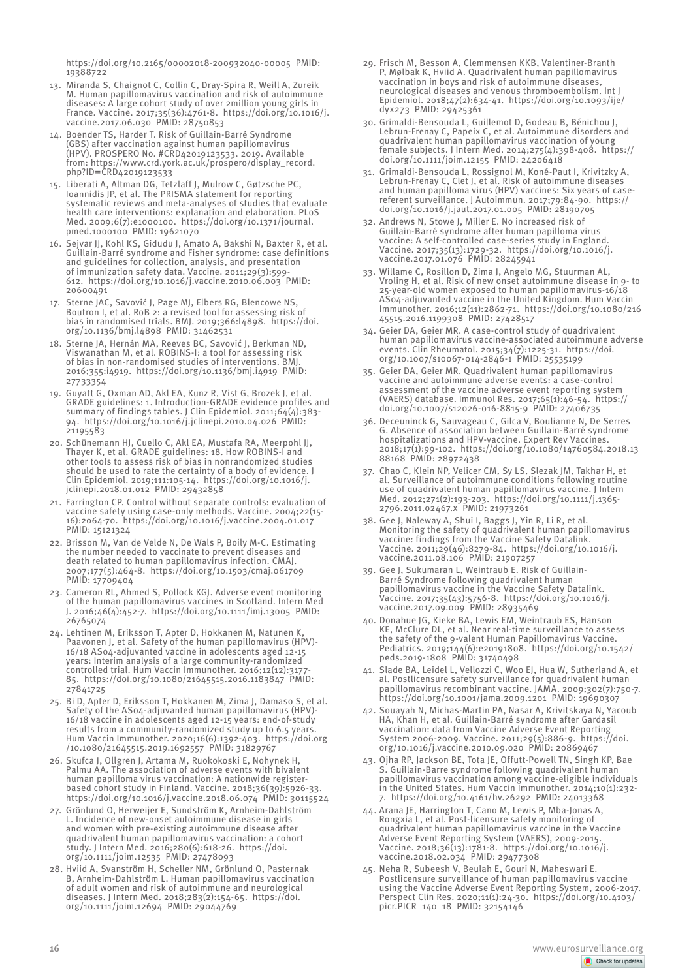https://doi.org/10.2165/00002018-200932040-00005 PMID: 19388722

- 13. Miranda S, Chaignot C, Collin C, Dray-Spira R, Weill A, Zureik M. Human papillomavirus vaccination and risk of autoimmune diseases: A large cohort study of over 2million young girls in France. Vaccine. 2017;35(36):4761-8. https://doi.org/10.1016/j. vaccine.2017.06.030 PMID: 28750853
- 14. Boender TS, Harder T. Risk of Guillain-Barré Syndrome (GBS) after vaccination against human papillomavirus (HPV). PROSPERO No. #CRD42019123533. 2019. Available from: https://www.crd.york.ac.uk/prospero/display\_record. php?ID=CRD42019123533
- 15. Liberati A, Altman DG, Tetzlaff J, Mulrow C, Gøtzsche PC, Ioannidis JP, et al. The PRISMA statement for reporting systematic reviews and meta-analyses of studies that evaluate health care interventions: explanation and elaboration. PLoS Med. 2009;6(7):e1000100. https://doi.org/10.1371/journal. pmed.1000100 PMID: 19621070
- 16. Sejvar JJ, Kohl KS, Gidudu J, Amato A, Bakshi N, Baxter R, et al. Guillain-Barré syndrome and Fisher syndrome: case definitions and guidelines for collection, analysis, and presentation of immunization safety data. Vaccine. 2011;29(3):599- 612. https://doi.org/10.1016/j.vaccine.2010.06.003 PMID: 20600491
- 17. Sterne JAC, Savović J, Page MJ, Elbers RG, Blencowe NS, Boutron I, et al. RoB 2: a revised tool for assessing risk of bias in randomised trials. BMJ. 2019;366:l4898. https://doi. org/10.1136/bmj.l4898 PMID: 31462531
- 18. Sterne JA, Hernán MA, Reeves BC, Savović J, Berkman ND, Viswanathan M, et al. ROBINS-I: a tool for assessing risk of bias in non-randomised studies of interventions. BMJ. 2016;355:i4919. https://doi.org/10.1136/bmj.i4919 PMID: 27733354
- 19. Guyatt G, Oxman AD, Akl EA, Kunz R, Vist G, Brozek J, et al. GRADE guidelines: 1. Introduction-GRADE evidence profiles and summary of findings tables. J Clin Epidemiol. 2011;64(4):383- 94. https://doi.org/10.1016/j.jclinepi.2010.04.026 PMID: 21195583
- 20. Schünemann HJ, Cuello C, Akl EA, Mustafa RA, Meerpohl JJ, Thayer K, et al. GRADE guidelines: 18. How ROBINS-I and other tools to assess risk of bias in nonrandomized studies should be used to rate the certainty of a body of evidence. Clin Epidemiol. 2019;111:105-14. https://doi.org/10.1016/j. jclinepi.2018.01.012 PMID: 29432858
- 21. Farrington CP. Control without separate controls: evaluation of vaccine safety using case-only methods. Vaccine. 2004;22(15- 16):2064-70. https://doi.org/10.1016/j.vaccine.2004.01.017 PMID: 15121324
- 22. Brisson M, Van de Velde N, De Wals P, Boily M-C. Estimating the number needed to vaccinate to prevent diseases and death related to human papillomavirus infection. CMAJ. 2007;177(5):464-8. https://doi.org/10.1503/cmaj.061709 PMID: 17709404
- 23. Cameron RL, Ahmed S, Pollock KGJ. Adverse event monitoring of the human papillomavirus vaccines in Scotland. Intern Med J. 2016;46(4):452-7. https://doi.org/10.1111/imj.13005 PMID: 26765074
- 24. Lehtinen M, Eriksson T, Apter D, Hokkanen M, Natunen K, Paavonen J, et al. Safety of the human papillomavirus (HPV)- 16/18 AS04-adjuvanted vaccine in adolescents aged 12-15 years: Interim analysis of a large community-randomized controlled trial. Hum Vaccin Immunother. 2016;12(12):3177- 85. https://doi.org/10.1080/21645515.2016.1183847 PMID: 27841725
- 25. Bi D, Apter D, Eriksson T, Hokkanen M, Zima J, Damaso S, et al. Safety of the AS04-adjuvanted human papillomavirus (HPV)- 16/18 vaccine in adolescents aged 12-15 years: end-of-study results from a community-randomized study up to 6.5 years. Hum Vaccin Immunother. 2020;16(6):1392-403. https://doi.org /10.1080/21645515.2019.1692557 PMID: 31829767
- 26. Skufca J, Ollgren J, Artama M, Ruokokoski E, Nohynek H, Palmu AA. The association of adverse events with bivalent human papilloma virus vaccination: A nationwide registerbased cohort study in Finland. Vaccine. 2018;36(39):5926-33. https://doi.org/10.1016/j.vaccine.2018.06.074 PMID: 30115524
- 27. Grönlund O, Herweijer E, Sundström K, Arnheim-Dahlström L. Incidence of new-onset autoimmune disease in girls and women with pre-existing autoimmune disease after quadrivalent human papillomavirus vaccination: a cohort study. J Intern Med. 2016;280(6):618-26. https://doi. org/10.1111/joim.12535 PMID: 27478093
- 28. Hviid A, Svanström H, Scheller NM, Grönlund O, Pasternak B, Arnheim-Dahlström L. Human papillomavirus vaccination of adult women and risk of autoimmune and neurological diseases. J Intern Med. 2018;283(2):154-65. https://doi. org/10.1111/joim.12694 PMID: 29044769
- 29. Frisch M, Besson A, Clemmensen KKB, Valentiner-Branth P, Mølbak K, Hviid A. Quadrivalent human papillomavirus vaccination in boys and risk of autoimmune diseases, neurological diseases and venous thromboembolism. Int J Epidemiol. 2018;47(2):634-41. https://doi.org/10.1093/ije/ dyx273 PMID: 29425361
- 30. Grimaldi-Bensouda L, Guillemot D, Godeau B, Bénichou J, Lebrun-Frenay C, Papeix C, et al. Autoimmune disorders and quadrivalent human papillomavirus vaccination of young female subjects. J Intern Med. 2014;275(4):398-408. https:// doi.org/10.1111/joim.12155 PMID: 24206418
- 31. Grimaldi-Bensouda L, Rossignol M, Koné-Paut I, Krivitzky A, Lebrun-Frenay C, Clet J, et al. Risk of autoimmune diseases and human papilloma virus (HPV) vaccines: Six years of casereferent surveillance. J Autoimmun. 2017;79:84-90. https:// doi.org/10.1016/j.jaut.2017.01.005 PMID: 28190705
- 32. Andrews N, Stowe J, Miller E. No increased risk of Guillain-Barré syndrome after human papilloma virus vaccine: A self-controlled case-series study in England. Vaccine. 2017;35(13):1729-32. https://doi.org/10.1016/j. vaccine.2017.01.076 PMID: 28245941
- 33. Willame C, Rosillon D, Zima J, Angelo MG, Stuurman AL, Vroling H, et al. Risk of new onset autoimmune disease in 9- to 25-year-old women exposed to human papillomavirus-16/18 AS04-adjuvanted vaccine in the United Kingdom. Hum Vaccin Immunother. 2016;12(11):2862-71. https://doi.org/10.1080/216 45515.2016.1199308 PMID: 27428517
- 34. Geier DA, Geier MR. A case-control study of quadrivalent human papillomavirus vaccine-associated autoimmune adverse events. Clin Rheumatol. 2015;34(7):1225-31. https://doi. org/10.1007/s10067-014-2846-1 PMID: 25535199
- 35. Geier DA, Geier MR. Quadrivalent human papillomavirus vaccine and autoimmune adverse events: a case-control assessment of the vaccine adverse event reporting system (VAERS) database. Immunol Res. 2017;65(1):46-54. https:// doi.org/10.1007/s12026-016-8815-9 PMID: 27406735
- 36. Deceuninck G, Sauvageau C, Gilca V, Boulianne N, De Serres G. Absence of association between Guillain-Barré syndrome hospitalizations and HPV-vaccine. Expert Rev Vaccines. 2018;17(1):99-102. https://doi.org/10.1080/14760584.2018.13 88168 PMID: 28972438
- 37. Chao C, Klein NP, Velicer CM, Sy LS, Slezak JM, Takhar H, et al. Surveillance of autoimmune conditions following routine use of quadrivalent human papillomavirus vaccine. J Intern Med. 2012;271(2):193-203. https://doi.org/10.1111/j.1365- 2796.2011.02467.x PMID: 21973261
- 38. Gee J, Naleway A, Shui I, Baggs J, Yin R, Li R, et al. Monitoring the safety of quadrivalent human papillomavirus vaccine: findings from the Vaccine Safety Datalink. Vaccine. 2011;29(46):8279-84. https://doi.org/10.1016/j. vaccine.2011.08.106 PMID: 21907257
- 39. Gee J, Sukumaran L, Weintraub E. Risk of Guillain-Barré Syndrome following quadrivalent human papillomavirus vaccine in the Vaccine Safety Datalink. Vaccine. 2017;35(43):5756-8. https://doi.org/10.1016/j. vaccine.2017.09.009 PMID: 28935469
- 40. Donahue JG, Kieke BA, Lewis EM, Weintraub ES, Hanson KE, McClure DL, et al. Near real-time surveillance to assess the safety of the 9-valent Human Papillomavirus Vaccine. Pediatrics. 2019;144(6):e20191808. https://doi.org/10.1542/ peds.2019-1808 PMID: 31740498
- 41. Slade BA, Leidel L, Vellozzi C, Woo EJ, Hua W, Sutherland A, et al. Postlicensure safety surveillance for quadrivalent human papillomavirus recombinant vaccine. JAMA. 2009;302(7):750-7. https://doi.org/10.1001/jama.2009.1201 PMID: 19690307
- 42. Souayah N, Michas-Martin PA, Nasar A, Krivitskaya N, Yacoub HA, Khan H, et al. Guillain-Barré syndrome after Gardasil vaccination: data from Vaccine Adverse Event Reporting System 2006-2009. Vaccine. 2011;29(5):886-9. https://doi. org/10.1016/j.vaccine.2010.09.020 PMID: 20869467
- 43. Ojha RP, Jackson BE, Tota JE, Offutt-Powell TN, Singh KP, Bae S. Guillain-Barre syndrome following quadrivalent human papillomavirus vaccination among vaccine-eligible individuals in the United States. Hum Vaccin Immunother. 2014;10(1):232- 7. https://doi.org/10.4161/hv.26292 PMID: 24013368
- 44. Arana JE, Harrington T, Cano M, Lewis P, Mba-Jonas A, Rongxia L, et al. Post-licensure safety monitoring of quadrivalent human papillomavirus vaccine in the Vaccine Adverse Event Reporting System (VAERS), 2009-2015. Vaccine. 2018;36(13):1781-8. https://doi.org/10.1016/j. vaccine.2018.02.034 PMID: 29477308
- 45. Neha R, Subeesh V, Beulah E, Gouri N, Maheswari E. Postlicensure surveillance of human papillomavirus vaccine using the Vaccine Adverse Event Reporting System, 2006-2017. Perspect Clin Res. 2020;11(1):24-30. https://doi.org/10.4103/ picr.PICR\_140\_18 PMID: 32154146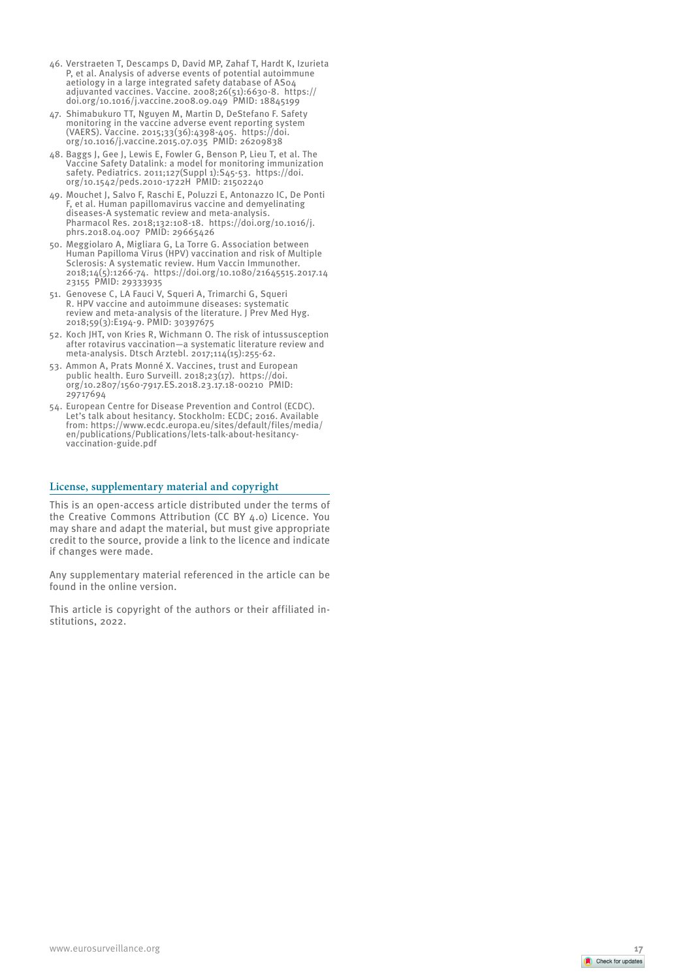- 46. Verstraeten T, Descamps D, David MP, Zahaf T, Hardt K, Izurieta P, et al. Analysis of adverse events of potential autoimmune aetiology in a large integrated safety database of AS04 adjuvanted vaccines. Vaccine. 2008;26(51):6630-8. https:// doi.org/10.1016/j.vaccine.2008.09.049 PMID: 18845199
- 47. Shimabukuro TT, Nguyen M, Martin D, DeStefano F. Safety monitoring in the vaccine adverse event reporting system (VAERS). Vaccine. 2015;33(36):4398-405. https://doi. org/10.1016/j.vaccine.2015.07.035 PMID: 26209838
- 48. Baggs J, Gee J, Lewis E, Fowler G, Benson P, Lieu T, et al. The Vaccine Safety Datalink: a model for monitoring immunization safety. Pediatrics. 2011;127(Suppl 1):S45-53. https://doi. org/10.1542/peds.2010-1722H PMID: 21502240
- 49. Mouchet J, Salvo F, Raschi E, Poluzzi E, Antonazzo IC, De Ponti F, et al. Human papillomavirus vaccine and demyelinating diseases-A systematic review and meta-analysis. Pharmacol Res. 2018;132:108-18. https://doi.org/10.1016/j. phrs.2018.04.007 PMID: 29665426
- 50. Meggiolaro A, Migliara G, La Torre G. Association between Human Papilloma Virus (HPV) vaccination and risk of Multiple Sclerosis: A systematic review. Hum Vaccin Immunother. 2018;14(5):1266-74. https://doi.org/10.1080/21645515.2017.14 23155 PMID: 29333935
- 51. Genovese C, LA Fauci V, Squeri A, Trimarchi G, Squeri R. HPV vaccine and autoimmune diseases: systematic review and meta-analysis of the literature. J Prev Med Hyg. 2018;59(3):E194-9. PMID: 30397675
- 52. Koch JHT, von Kries R, Wichmann O. The risk of intussusception after rotavirus vaccination—a systematic literature review and meta-analysis. Dtsch Arztebl. 2017;114(15):255-62.
- 53. Ammon A, Prats Monné X. Vaccines, trust and European public health. Euro Surveill. 2018;23(17). https://doi. org/10.2807/1560-7917.ES.2018.23.17.18-00210 PMID: 29717694
- 54. European Centre for Disease Prevention and Control (ECDC). Let's talk about hesitancy. Stockholm: ECDC; 2016. Available from: https://www.ecdc.europa.eu/sites/default/files/media/ en/publications/Publications/lets-talk-about-hesitancyvaccination-guide.pdf

## **License, supplementary material and copyright**

This is an open-access article distributed under the terms of the Creative Commons Attribution (CC BY 4.0) Licence. You may share and adapt the material, but must give appropriate credit to the source, provide a link to the licence and indicate if changes were made.

Any supplementary material referenced in the article can be found in the online version.

This article is copyright of the authors or their affiliated in stitutions, 2022.